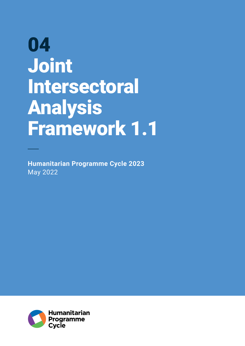# 04 Joint Intersectoral Analysis Framework 1.1

**Humanitarian Programme Cycle 2023** May 2022

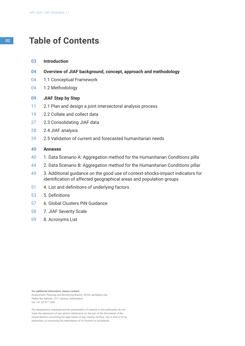# <sup>02</sup> **Table of Contents**

- **Introduction 03**
- **Overview of JIAF background, concept, approach and methodology 04**
- 1.1 Conceptual Framework 04
- 1.2 Methodology 04

#### **JIAF Step by Step 09**

- 2.1 Plan and design a joint intersectoral analysis process 11
- 2.2 Collate and collect data 19
- 2.3 Consolidating JIAF data 27
- 2.4 JIAF analysis 28
- 2.5 Validation of current and forecasted humanitarian needs 39

#### **Annexes 40**

- 1. Data Scenario A: Aggregation method for the Humanitarian Conditions pilla 40
- 2. Data Scenario B: Aggregation method for the Humanitarian Conditions pillar 44
- 3. Additional guidance on the good use of context-shocks-impact indicators for identification of affected geographical areas and population groups 49
- 4. List and definitions of underlying factors 51
- 5. Definitions 53
- 6. Global Clusters PiN Guidance 57
- 7. JIAF Severity Scale 58
- 8. Acronyms List 59

**For additional information, please contact:** Assessment, Planning and Monitoring Branch, OCHA, apmb@un.org Palais des Nations, 1211 Geneva, Switzerland Tel: +41 22 917 1690

*The designations employed and the presentation of material in this publication do not imply the expression of any opinion whatsoever on the part of the Secretariat of the United Nations concerning the legal status of any country, territory, city or area or of its authorities, or concerning the delimitation of its frontiers or boundaries.*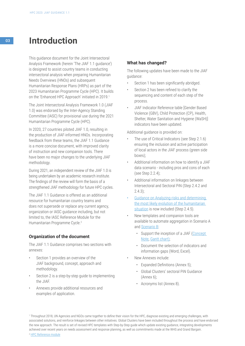# <sup>03</sup> **Introduction**

This guidance document for the Joint Intersectoral Analysis Framework (herein 'The JIAF 1.1 guidance') is designed to assist country teams in conducting intersectoral analysis when preparing Humanitarian Needs Overviews (HNOs) and subsequent Humanitarian Response Plans (HRPs) as part of the 2023 Humanitarian Programme Cycle (HPC). It builds on the 'Enhanced HPC Approach' initiated in 2019.1

The Joint Intersectoral Analysis Framework 1.0 (JIAF 1.0) was endorsed by the Inter-Agency Standing Committee (IASC) for provisional use during the 2021 Humanitarian Programme Cycle (HPC).

In 2020, 27 countries piloted JIAF 1.0, resulting in the production of JIAF-informed HNOs. Incorporating feedback from these teams, the JIAF 1.1 Guidance is a more concise document, with improved clarity of instruction and new companion tools. There have been no major changes to the underlying JIAF methodology.

During 2021, an independent review of the JIAF 1.0 is being undertaken by an academic research institute. The findings of the review will form the basis of a strengthened JIAF methodology for future HPC cycles.

The JIAF 1.1 Guidance is offered as an additional resource for humanitarian country teams and does not supersede or replace any current agency, organization or IASC guidance including, but not limited to, the IASC Reference Module for the Humanitarian Programme Cycle.<sup>2</sup>

# **Organization of the document**

The JIAF 1.1 Guidance comprises two sections with annexes:

- Section 1 provides an overview of the JIAF background, concept, approach and methodology.
- Section 2 is a step-by-step guide to implementing the JIAF.
- Annexes provide additional resources and examples of application.

# **What has changed?**

The following updates have been made to the JIAF guidance:

- Section 1 has been significantly abridged.
- Section 2 has been refined to clarify the sequencing and content of each step of the process.
- JIAF Indicator Reference table [Gender Based Violence (GBV), Child Protection (CP), Health, Shelter, Water Sanitation and Hygiene (WaSH)] indicators have been updated.

Additional guidance is provided on:

- The use of Critical Indicators (see Step 2.1.6) ensuring the inclusion and active participation of local actors in the JIAF process (green side boxes);
- Additional information on how to identify a JIAF data scenario - including pros and cons of each (see Step 2.2.4);
- Additional information on linkages between Intersectoral and Sectoral PiN (Step 2.4.2 and 2.4.3);
- [Guidance on Analyzing risks and determining](https://kmp.hpc.tools/km/2021-guidance-analyzing-risks-and-determining-most-likely-evolution-humanitarian-situation)  [the most likely evolution of the humanitarian](https://kmp.hpc.tools/km/2021-guidance-analyzing-risks-and-determining-most-likely-evolution-humanitarian-situation)  [situation](https://kmp.hpc.tools/km/2021-guidance-analyzing-risks-and-determining-most-likely-evolution-humanitarian-situation) is now included (Step 2.4.5).
- New templates and companion tools are available to automate aggregation in Scenario A and [Scenario B:](https://unitednations.sharepoint.com/:x:/r/sites/JIAG-JointIntersectorAnalysisGroup/Shared Documents/01 - Guidance and Tools/JIAF 1.1/JIAF 1.1 - Final templates/Scenario B/JIAF1.1_AggregationTemplate_Blank_210512.xlsx?d=wad04bb8b27214127a7cc1edf88e4730f&csf=1&web=1&e=qFzR1o)
	- Support the inception of a JIAF (Concept [Note](https://unitednations.sharepoint.com/:w:/r/sites/JIAG-JointIntersectorAnalysisGroup/_layouts/15/Doc.aspx?sourcedoc=%7B07AD2807-53E7-40CE-AE1B-2E0B20CDA487%7D&file=Template_JIAFworkplan.docx&wdLOR=cF878D1B3-CCC5-46A9-B9DE-ED56F4C83560&action=default&mobileredirect=true), [Gantt chart](https://unitednations.sharepoint.com/:x:/r/sites/JIAG-JointIntersectorAnalysisGroup/Shared Documents/01 - Guidance and Tools/JIAF 1.1/JIAF 1.1 - Final templates/Template_JIAF_Gantt - Copy.xlsx?d=w196ec48202f541e2a467a9858794b77b&csf=1&web=1&e=nhbsOj));
	- Document the selection of indicators and information gaps ([Word](https://unitednations.sharepoint.com/:w:/r/sites/JIAG-JointIntersectorAnalysisGroup/Shared Documents/01 - Guidance and Tools/JIAF 1.1/Clean tickets/Indicator Selection and Information Gap Documentation Tool_final.docx?d=w8568c34479d14f4b8c2d127f5a4b116b&csf=1&web=1&e=pivtUD), [Excel\)](https://unitednations.sharepoint.com/:x:/r/sites/JIAG-JointIntersectorAnalysisGroup/Shared Documents/01 - Guidance and Tools/JIAF 1.1/Clean tickets/Indicator documentation.xlsx?d=wf41483fe5ba04ed89bd0f565b581d862&csf=1&web=1&e=CtziqW).
- New Annexes include:
	- Expanded Definitions (Annex 5);
	- Global Clusters' sectoral PiN Guidance (Annex 6);
	- Acronyms list (Annex 8).

1 Throughout 2018, UN Agencies and NGOs came together to define their vision for the HPC, diagnose existing and emerging challenges, with associated solutions, and reinforce linkages between other initiatives. Global Clusters have been included throughout the process and have endorsed the new approach. The result is set of revised HPC templates with Step-by-Step guide which update existing guidance, integrating developments achieved over recent years on needs assessment and response planning, as well as commitments made at the WHS and Grand Bargain.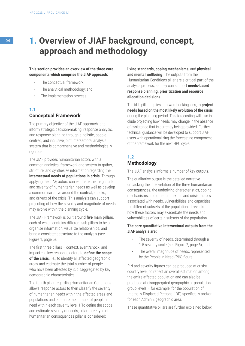# <sup>04</sup> **1. Overview of JIAF background, concept, approach and methodology**

### **This section provides an overview of the three core components which comprise the JIAF approach:**

- The conceptual framework;
- The analytical methodology; and
- The implementation process.

# **1.1 Conceptual Framework**

The primary objective of the JIAF approach is to inform strategic decision-making, response analysis, and response planning through a holistic, peoplecentred, and inclusive joint intersectoral analysis system that is comprehensive and methodologically rigorous.

The JIAF provides humanitarian actors with a common analytical framework and system to gather, structure, and synthesize information regarding the **intersectoral needs of populations in crisis**. Through applying the JIAF, actors can estimate the magnitude and severity of humanitarian needs as well as develop a common narrative around the context, shocks, and drivers of the crisis. This analysis can support projecting of how the severity and magnitude of needs may evolve within the planning cycle.

The JIAF Framework is built around **five main pillars**, each of which contains different sub-pillars to help organise information, visualize relationships, and bring a consistent structure to the analysis (see Figure 1, page 5).

The first three pillars – context, event/shock, and impact – allow response actors to **define the scope of the crisis**, i.e., to identify all affected geographic areas and estimate the total number of people who have been affected by it, disaggregated by key demographic characteristics.

The fourth pillar regarding Humanitarian Conditions allows response actors to then classify the severity of humanitarian needs within the affected areas and populations and estimate the number of people in need within each severity level.1 To define the scope and estimate severity of needs, pillar three type of humanitarian consequences pillar is considered:

**living standards, coping mechanisms**, and **physical and mental wellbeing**. The outputs from the Humanitarian Conditions pillar are a critical part of the analysis process, as they can support **needs-based response planning, prioritization and resource allocation decisions.** 

The fifth pillar applies a forward-looking lens, to **project needs based on the most likely evolution of the crisis** during the planning period. This forecasting will also include projecting how needs may change in the absence of assistance that is currently being provided. Further technical guidance will be developed to support JIAF users with operationalizing the forecasting component of the framework for the next HPC cycle.

# **1.2**

# **Methodology**

The JIAF analysis informs a number of key outputs.

The qualitative output is the detailed narrative unpacking the inter-relation of the three humanitarian consequences, the underlying characteristics, coping mechanisms, and other contextual and crisis factors associated with needs, vulnerabilities and capacities for different subsets of the population. It reveals how these factors may exacerbate the needs and vulnerabilities of certain subsets of the population.

# **The core quantitative intersectoral outputs from the JIAF analysis are:**

- The severity of needs, determined through a 1-5 severity scale (see Figure 2, page 6); and
- The overall magnitude of needs, represented by the People in Need (PiN) figure.

PiN and severity figures can be produced at crisis/ country level, to reflect an overall estimation among the entire affected population and can also be produced at disaggregated geographic or population group levels – for example, for the population of Internally Displaced Persons (IDP) specifically and/or for each Admin 2 geographic area.

These quantitative pillars are further explained below.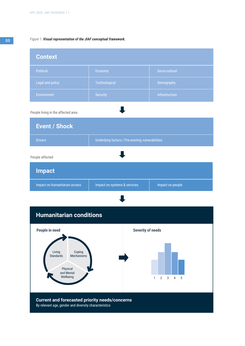#### *Figure 1. Visual representation of the JIAF conceptual framework.*

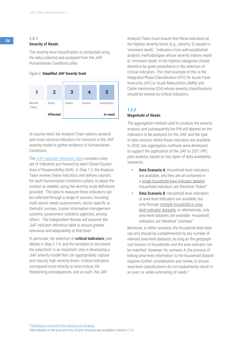# <sup>06</sup> **1.2.1 Severity of Needs**

The severity level classification is conducted using the data collected and analysed from the JIAF Humanitarian Conditions pillar.

#### *Figure 2. Simplified JIAF Severity Scale*



At country level, the Analysis Team selects sectoral and cross-sectoral indicators for inclusion in the JIAF severity model to gather evidence of Humanitarian Conditions.

The **JIAF** indicator reference table compiles a key set of indicators put forward by each Global Cluster/ Area of Responsibility (AoR). In Step 1.5, the Analysis Team reviews these indicators and defines sources for each Humanitarian Conditions pillars, to adapt the context as needed, using the severity scale definitions provided. The data to measure these indicators can be collected through a range of sources, including multi-sector needs assessments, sector-specific or thematic surveys, cluster information management systems, government statistics agencies, among others. The Independent Review will examine the JIAF indicator reference table to ensure greater relevance and adaptability at field level.

In particular, the selection of **critical indicators** (see details in Step 2.1.6, and the template to document the selection)<sup>3</sup> is an important step in developing a JIAF severity model that can appropriately capture and classify high severity levels. Critical indicators correspond most directly to time-critical, lifethreatening consequences, and as such, the JIAF

Analysis Team must ensure that these indicators at the highest severity levels (e.g., severity 5) equate to 'imminent death'. Indicators from well-established analysis methodologies whose severity indices relate to 'imminent death' in the highest categories should therefore be given precedence in the selection of critical indicators. The chief example of this is the Integrated Phase Classification (IPC) for Acute Food Insecurity (AFI) or Acute Malnutrition (AMN) and Cadre Harmonise (CH) whose severity classifications should be treated as critical indicators.

# **1.2.2**

# **Magnitude of Needs**

The aggregation method used to produce the severity analysis and subsequently the PiN will depend on the indicators to be analysed for the JIAF, and the type of data sources where those indicators are available. In 2020, two aggregation methods were developed to support the application of the JIAF to 2021 HPC joint analysis, based on two types of data availability scenarios:

- **Data Scenario A: Household level indicators** are available, and they are all contained in a single household level indicator dataset. Household indicators are therefore "linked."
- **Data Scenario B: Household level indicators** or area-level indicators are available, but only through multiple household or arealevel indicator datasets; or alternatively, only area-level datasets are available. Household indicators are therefore "unlinked."

Moreover, in either scenario, the household level data can and should be complemented by any number of relevant area-level datasets, as long as the geographical location of households and the area indicator can be matched. However, for scenario A, the process of linking area-level information to the household dataset requires further consideration and review, to ensure area-level classifications do not inadvertently result in an over- or under-estimating of needs.<sup>4</sup>

<sup>3</sup> Templates to document the selection of indicators

4 More details on the pros and cons of both scenarios are available in section 2.2.4.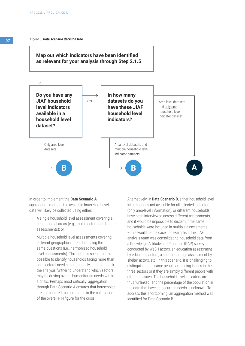

In order to implement the **Data Scenario A** aggregation method, the available household level data will likely be collected using either:

- A single household level assessment covering all geographical areas (e.g., multi sector coordinated assessments); or
- Multiple household level assessments covering different geographical areas but using the same questions (i.e., harmonized household level assessments). Through this scenario, it is possible to identify households facing more than one sectoral need simultaneously, and to unpack the analysis further to understand which sectors may be driving overall humanitarian needs within a crisis. Perhaps most critically, aggregation through Data Scenario A ensures that households are not counted multiple times in the calculation of the overall PiN figure for the crisis.

Alternatively, in **Data Scenario B**, either household level information is not available for all selected indicators (only area-level information), or different households have been interviewed across different assessments, and it would be impossible to discern if the same households were included in multiple assessments – this would be the case, for example, if the JIAF analysis team was consolidating household data from a Knowledge Attitude and Practices (KAP) survey conducted by WaSH actors, an education assessment by education actors, a shelter damage assessment by shelter actors, etc. In this scenario, it is challenging to distinguish if the same people are facing issues in the three sectors or if they are simply different people with different issues. The household level indicators are thus "unlinked" and the percentage of the population in the data that have co-occurring needs is unknown. To address this shortcoming, an aggregation method was identified for Data Scenario B.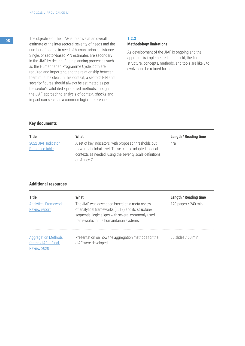**08** The objective of the JIAF is to arrive at an overall estimate of the intersectoral severity of needs and the number of people in need of humanitarian assistance. Single, or sector-based PiN estimates are secondary in the JIAF by design. But in planning processes such as the Humanitarian Programme Cycle, both are required and important, and the relationship between them must be clear. In this context, a sector's PiN and severity figures should always be estimated as per the sector's validated / preferred methods; though the JIAF approach to analysis of context, shocks and impact can serve as a common logical reference.

# **1.2.3**

#### **Methodology limitations**

As development of the JIAF is ongoing and the approach is implemented in the field, the final structure, concepts, methods, and tools are likely to evolve and be refined further.

# **Key documents**

| <b>Title</b>                           | What                                                                                                                                                                                      | <b>Length / Reading time</b> |
|----------------------------------------|-------------------------------------------------------------------------------------------------------------------------------------------------------------------------------------------|------------------------------|
| 2022 JIAF Indicator<br>Reference table | A set of key indicators, with proposed thresholds put<br>forward at global level. These can be adapted to local<br>contexts as needed, using the severity scale definitions<br>on Annex 7 | n/a                          |

# **Additional resources**

| <b>Title</b>                                                        | What                                                                                                                                                                                                 | <b>Length / Reading time</b> |
|---------------------------------------------------------------------|------------------------------------------------------------------------------------------------------------------------------------------------------------------------------------------------------|------------------------------|
| <b>Analytical Framework</b><br><b>Review report</b>                 | The JIAF was developed based on a meta review<br>of analytical frameworks (2017) and its structure/<br>sequential logic aligns with several commonly used<br>frameworks in the humanitarian systems. | 120 pages / 240 min          |
| <b>Aggregation Methods</b><br>for the JIAF $-$ Final<br>Review 2020 | Presentation on how the aggregation methods for the<br>JIAF were developed.                                                                                                                          | 30 slides / 60 min           |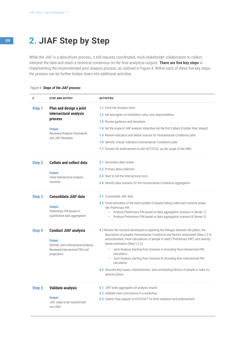# <sup>09</sup> **2. JIAF Step by Step**

While the JIAF is a data-driven process, it still requires coordinated, multi-stakeholder collaboration to collect, interpret the data and reach a technical consensus on the final analytical outputs. **There are five key steps** in implementing the recommended joint analysis process, as outlined in Figure 4. Within each of these five key steps, the process can be further broken down into additional activities.

# *Figure 4. Steps of the JIAF process*

| #             | <b>STEP AND OUTPUT</b>                                                                                                                   | <b>ACTIVITIES</b>                                                                                                                                                                                                                                                                                                                                                                                                                                                                                                                                                                                                    |
|---------------|------------------------------------------------------------------------------------------------------------------------------------------|----------------------------------------------------------------------------------------------------------------------------------------------------------------------------------------------------------------------------------------------------------------------------------------------------------------------------------------------------------------------------------------------------------------------------------------------------------------------------------------------------------------------------------------------------------------------------------------------------------------------|
| Step 1        | Plan and design a joint<br>intersectoral analysis<br><b>process</b><br><b>Output</b><br>Reviewed Analysis Framework<br>and JIAF Workplan | 1.1 Form the Analysis team<br>1.2 Set and agree on timeframe, roles, and responsibilities<br><b>1.3</b> Review guidance and templates<br>1.4 Set the scope of JIAF analysis: initial dive into the first 3 pillars (Context, Risk, Impact)<br>1.5 Review indicators and define sources for Humanitarian Conditions pillar<br>1.6 Identify 'critical' indicators Humanitarian Conditions pillar<br>1.7 Present for endorsement to the HCT/ICCG as the scope of the HNO                                                                                                                                                |
| <b>Step 2</b> | <b>Collate and collect data</b><br><b>Output</b><br>Initial intersectoral analysis<br>narrative                                          | 2.1 Secondary data review<br><b>2.2</b> Primary data collection<br>2.3 Start to tell the intersectoral story<br>2.4 Identify data scenario for the Humanitarian Conditions aggregation                                                                                                                                                                                                                                                                                                                                                                                                                               |
| Step 3        | <b>Consolidate JIAF data</b><br><b>Output</b><br>Preliminary PiN based on<br>quantitative data aggregation                               | <b>3.1</b> Consolidate JIAF data<br>3.2 Initial estimates of the total number of people falling under each severity phase:<br>the Preliminary PiN<br>Produce Preliminary PiN based on data aggregation scenario A (Annex 1)<br>$\bullet$<br>Produce Preliminary PiN based on data aggregation scenario B (Annex 2)                                                                                                                                                                                                                                                                                                   |
| <b>Step 4</b> | <b>Conduct JIAF analysis</b><br><b>Output</b><br>Refined Joint Intersectoral analysis,<br>Reviewed Intersectoral PiN, and<br>projections | 4.1 Review the narrative developed in exploring the linkages between the pillars, the<br>description of people's Humanitarian Conditions and factors associated (Step 2.2.3)<br>and estimated, initial calculations of people in need ("Preliminary PiN") and severity<br>phase estimation (Step 2.3.2)<br>Joint Analysis starting from Scenario A (including final intersectoral PiN<br>٠<br>calculation<br>Joint Analysis starting from Scenario B (including final intersectoral PiN<br>calculation<br>4.2 Describe key issues, characteristics, and contributing factors of people in need, by<br>severity phase |
| <b>Step 5</b> | <b>Validate analysis</b><br><b>Output</b><br>JIAF ready to be transformed<br>into HNO                                                    | 5.1 JIAF team aggregates all analysis results<br>5.2 Validate main conclusions in a workshop<br>5.3 Submit final outputs to ICCG/HCT for final validation and endorsement                                                                                                                                                                                                                                                                                                                                                                                                                                            |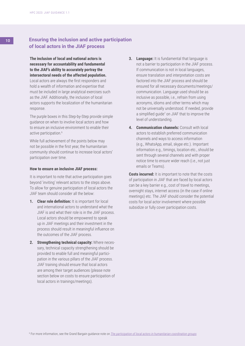# 10 **Ensuring the inclusion and active participation of local actors in the JIAF process**

**The inclusion of local and national actors is necessary for accountability and fundamental to the JIAF's ability to accurately portray the intersectoral needs of the affected population.**

Local actors are always the first responders and hold a wealth of information and expertise that must be included in large analytical exercises such as the JIAF. Additionally, the inclusion of local actors supports the localization of the humanitarian response.

The purple boxes in this Step-by-Step provide simple guidance on when to involve local actors and how to ensure an inclusive environment to enable their active participation.<sup>6</sup>

While full achievement of the points below may not be possible in the first year, the humanitarian community should continue to increase local actors' participation over time.

#### **How to ensure an inclusive JIAF process:**

It is important to note that active participation goes beyond 'inviting' relevant actors to the steps above. To allow for genuine participation of local actors the JIAF team should consider all the below:

- **1. Clear role definition:** It is important for local and international actors to understand what the JIAF is and what their role is in the JIAF process. Local actors should be empowered to speak up in JIAF meetings and their investment in the process should result in meaningful influence on the outcomes of the JIAF process.
- **2. Strengthening technical capacity:** Where necessary, technical capacity strengthening should be provided to enable full and meaningful participation in the various pillars of the JIAF process. JIAF training should ensure that local actors are among their target audiences (please note section below on costs to ensure participation of local actors in trainings/meetings).
- **3. Language:** It is fundamental that language is not a barrier to participation in the JIAF process. If communication is not in local languages, ensure translation and interpretation costs are factored into the JIAF process and should be ensured for all necessary documents/meetings/ communication. Language used should be as inclusive as possible, i.e., refrain from using acronyms, idioms and other terms which may not be universally understood. If needed, provide a simplified guide<sup>7</sup> on JIAF that to improve the level of understanding.
- **4. Communication channels:** Consult with local actors to establish preferred communication channels and ways to access information (e.g., WhatsApp, email, skype etc.). Important information e.g., timings, location etc., should be sent through several channels and with proper notice time to ensure wider reach (i.e., not just emails or Teams).

**Costs incurred:** It is important to note that the costs of participation in JIAF that are faced by local actors can be a key barrier e.g., cost of travel to meetings, overnight stays, internet access (in the case if online meetings) etc. The JIAF should consider the potential costs for local actor involvement where possible subsidize or fully cover participation costs.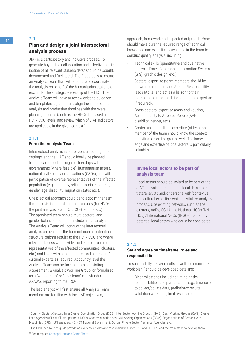# **Plan and design a joint intersectoral analysis process**

JIAF is a participatory and inclusive process. To generate buy-in, the collaboration and effective participation of all relevant stakeholders<sup>8</sup> should be sought, documented and facilitated. The first step is to create an Analysis Team that will conduct and coordinate the analysis on behalf of the humanitarian stakeholders, under the strategic leadership of the HCT. The Analysis Team will have to review existing guidance and templates, agree on and align the scope of the analysis and production timelines with the overall planning process (such as the HPC) discussed at HCT/ICCG levels, and review which of JIAF indicators are applicable in the given context.<sup>9</sup>

# **2.1.1**

# **Form the Analysis Team**

Intersectoral analysis is better conducted in group settings, and the JIAF should ideally be planned for and carried out through partnerships with governments (where feasible), humanitarian actors, national civil society organisations (CSOs), and with participation of diverse representatives of the affected population (e.g., ethnicity, religion, socio economic, gender, age, disability, migration status etc.).

One practical approach could be to appoint the team through existing coordination structures (for HNOs the joint analysis is an HCT/ICCG led process). The appointed team should multi-sectoral and gender-balanced team and include a lead analyst. The Analysis Team will conduct the intersectoral analysis on behalf of the humanitarian coordination structure, submit results to the HCT/ICCG and where relevant discuss with a wider audience (government, representatives of the affected communities, clusters, etc.) and liaise with subject matter and contextual/ cultural experts as required. At country-level the Analysis Team can be formed from an existing Assessment & Analysis Working Group, or formalised as a "workstream" or "task team" of a standard A&AWG, reporting to the ICCG.

The lead analyst will first ensure all Analysis Team members are familiar with the JIAF objectives,

approach, framework and expected outputs. He/she should make sure the required range of technical knowledge and expertise is available in the team to conduct quality analysis, including:

- Technical skills (quantitative and qualitative analysis, Excel, Geographic Information System (GIS), graphic design, etc.).
- Sectoral expertise (team members should be drawn from clusters and Area of Responsibility leads (AoRs) and act as a liaison to their members to gather additional data and expertise if required).
- Cross-sectoral expertise (cash and voucher, Accountability to Affected People (AAP), disability, gender, etc.)
- Contextual and cultural expertise (at least one member of the team should know the context and situation on the ground well. The knowledge and expertise of local actors is particularly valuable).

# **Invite local actors to be part of analysis team**

Local actors should be invited to be part of the JIAF analysis team either as local data scientists/analysts and/or persons with 'contextual and cultural expertise' which is vital for analysis process. Use existing networks such as the clusters, AoRs, OCHA and National NGOs (NN-GOs) /International NGOs (INGOs) to identify potential local actors who could be considered.

# **2.1.2**

# **Set and agree on timeframe, roles and responsibilities**

To successfully deliver results, a well communicated work plan<sup>10</sup> should be developed detailing:

• Clear milestones including timing, tasks, responsibilities and participation, e.g., timeframe to collect/collate data, preliminary results, validation workshop, final results, etc.

8 Country Clusters/Sectors, Inter Cluster Coordination Group (ICCG), Inter Sector Working Groups (ISWG), Cash Working Groups (CWG), Cluster Lead Agencies (CLAs), Cluster partners, NGOs, Academic institutions, Civil Society Organizations (CSOs), Organizations of Persons with Disabilities (OPDs), UN agencies, HC/HCT, National Government, Donors, Private Sector, Technical Agencies, etc.

9 The HPC Step by Step guide provide an overview of roles and responsibilities, how HNO and HRP link and the main steps to develop them.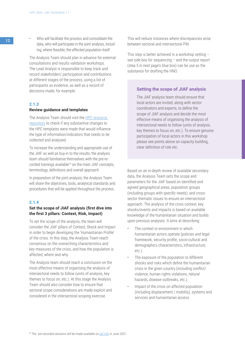**12** • Who will facilitate the process and consolidate the data, who will participate in the joint analysis, including, where feasible, the affected population itself.

> The Analysis Team should plan in advance for external consultations and results validation workshops. The Lead Analyst is responsible to keep track and record stakeholders' participation and contributions at different stages of the process, using a list of participants as evidence, as well as a record of decisions made, for example.

### **2.1.3**

### **Review guidance and templates**

The Analysis Team should visit the [HPC resource](https://assessments.hpc.tools/knowledge-management)  [repository](https://assessments.hpc.tools/knowledge-management) to check if any substantive changes to the HPC templates were made that would influence the type of information/indicators that needs to be collected and analysed.

To increase the understanding and appropriate use of the JIAF as well as buy-in to the results, the analysis team should familiarise themselves with the pre-recorded trainings available<sup>10</sup> on the main JIAF concepts, terminology, definitions and overall approach.

In preparation of the joint analysis, the Analysis Team will share the objectives, tools, analytical standards and procedures that will be applied throughout the process.

#### **2.1.4**

# **Set the scope of JIAF analysis (first dive into the first 3 pillars: Context, Risk, Impact)**

To set the scope of the analysis, the team will consider the JIAF pillars of Context, Shock and Impact in order to begin developing the 'Humanitarian Profile' of the crisis. In this step, the Analysis Team reach consensus on the overarching characteristics and key measures of the crisis, and how the population is affected, where and why.

The Analysis team should reach a conclusion on the most effective means of organising the analysis of intersectoral needs to follow (units of analysis, key themes to focus on, etc.). At this stage the Analysis Team should also consider how to ensure that sectoral scope considerations are made explicit and considered in the intersectoral scoping exercise.

This will reduce instances where discrepancies arise between sectoral and intersectoral PiN.

This step is better achieved in a workshop setting – see side box for sequencing – and the output report (step 5 in next page's blue box) can be use as the substance for drafting the HNO.

# **Setting the scope of JIAF analysis**

The JIAF analysis team should ensure that local actors are invited, along with sector coordinators and experts, to define the scope of JIAF analysis and decide the most effective means of organising the analysis of intersectoral needs to follow (units of analysis, key themes to focus on, etc.). To ensure genuine participation of local actors in this workshop please see points above on capacity building, clear definition of role etc.

Based on an in-depth review of available secondary data, the Analysis Team sets the scope and parameters for the JIAF based on identified and agreed geographical areas, population groups (including groups with specific needs), and crosssector thematic issues to ensure an intersectoral approach. The analysis of the crisis context, key shocks/events and impacts is based on available knowledge of the humanitarian situation and builds upon previous analyses. It aims at describing:

- The context or environment in which humanitarian actors operate (policies and legal framework, security profile, socio-cultural and demographics characteristics, infrastructure, etc.).
- The exposure of the population to different shocks and risks which define the humanitarian crisis in the given country (including conflict/ violence, human rights violations, natural hazards, disease outbreaks, etc.).
- Impact of the crisis on affected population (including displacement / mobility), systems and services and humanitarian access.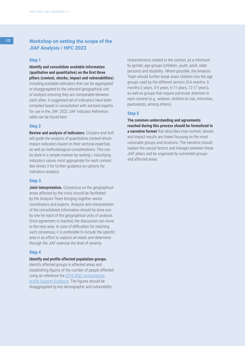# **Workshop on setting the scope of the JIAF Analysis / HPC 2023**

#### **Step 1**

**Identify and consolidate available information (qualitative and quantitative) on the first three pillars (context, shocks, impact and vulnerabilities)**  including available indicators that can be aggregated or disaggregated to the selected geographical unit of analysis ensuring they are comparable between each other. A suggested set of indicators have been compiled based in consultation with sectoral experts for use in the JIAF. 2022 JIAF Indicator Reference table can be found here.

### **Step 2**

**Review and analysis of indicators.** Clusters and AoR will guide the analysis of quantitative context-shockimpact indicators based on their sectoral expertise, as well as methodological considerations. This can be done in a simple manner by ranking / classifying indicators values most appropriate for each context. See Annex 3 for further guidance on options for indicators analysis.

#### **Step 3**

**Joint interpretation.** Consensus on the geographical areas affected by the crisis should be facilitated by the Analysis Team bringing together sector coordinators and experts. Analysis and interpretation of the consolidated information should be done one by one for each of the geographical units of analysis. Once agreement is reached, the discussion can move to the next area. In case of difficulties for reaching such consensus, it is preferable to include the specific area in an effort to capture all needs and determine through the JIAF exercise the level of severity.

### **Step 4**

**Identify and profile affected population groups.** Identify affected groups in affected areas and establishing figures of the number of people affected using as reference the 2016 IASC Humanitarian [profile Support Guidance.](https://www.humanitarianresponse.info/en/programme-cycle/space/document/humanitarian-profile-support-guidance) The figures should be disaggregated by key demographic and vulnerability

characteristics related to the context, as a minimum by gender, age groups (children, youth, adult, older persons) and disability. Where possible, the Analysis Team should further break down children into the age groups used by the different sectors (0-6 months, 6 months-2 years, 3-5 years, 6-11 years, 12-17 years), as well as groups that require particular attention in each context (e.g., widows, children-at risk, minorities, pastoralists, among others).

#### **Step 5**

**The common understanding and agreements reached during this process should be formalized in a narrative format** that describes how context, shocks and impact results are linked focusing on the most vulnerable groups and locations. The narrative should explain the causal factors and linkages between these JIAF pillars and be organized by vulnerable groups and affected areas.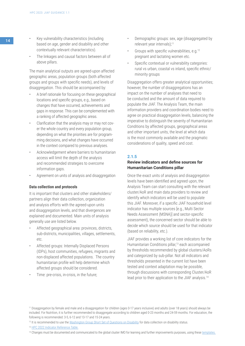- 14 **•** Key vulnerability characteristics (including based on age, gender and disability and other contextually relevant characteristics).
	- The linkages and causal factors between all of above pillars.

The main analytical outputs are agreed-upon affected geographic areas, population groups (both affected groups and groups with specific needs), and levels of disaggregation. This should be accompanied by:

- A brief rationale for focusing on these geographical locations and specific groups, e.g., based on changes that have occurred, achievements and gaps in response. This can be complemented with a ranking of affected geographic areas.
- Clarification that the analysis may or may not cover the whole country and every population group, depending on what the priorities are for programming decisions, and what changes have occurred in the context compared to previous analyses.
- Acknowledgement where barriers to humanitarian access will limit the depth of the analysis and recommended strategies to overcome information gaps.
- Agreement on units of analysis and disaggregation

### **Data collection and protocols**

It is important that clusters and other stakeholders/ partners align their data collection, organization and analysis efforts with the agreed-upon units and disaggregation levels, and that divergences are explained and documented. Main units of analysis generally use are listed below.

- Affected geographical area: provinces, districts, sub-districts, municipalities, villages, settlements, etc.
- Affected groups: Internally Displaced Persons (IDPs), host communities, refugees, migrants and non-displaced affected populations. The country humanitarian profile will help determine which affected groups should be considered.
- Time: pre-crisis, in-crisis, in the future;
- Demographic groups: sex, age (disaggregated by relevant year intervals);11
- Groups with specific vulnerabilities, e.g.<sup>12</sup> pregnant and lactating women etc.
- Specific contextual or vulnerability categories: rural vs urban, coastal vs inland, specific ethnic/ minority groups

Disaggregation offers greater analytical opportunities; however, the number of disaggregations has an impact on the number of analyses that need to be conducted and the amount of data required to populate the JIAF. The Analysis Team, the main information providers and coordination bodies need to agree on practical disaggregation levels, balancing the imperative to distinguish the severity of Humanitarian Conditions by affected groups, geographical areas and other important units, the level at which data is the most commonly available and the pragmatic considerations of quality, speed and cost.

#### **2.1.5**

# **Review indicators and define sources for Humanitarian Conditions pillar**

Once the exact units of analysis and disaggregation levels have been identified and agreed upon, the Analysis Team can start consulting with the relevant cluster/AoR and main data providers to review and identify which indicators will be used to populate this JIAF. Moreover, if a specific JIAF household level indicator has multiple sources [e.g., Multi Sector Needs Assessment (MSNA)] and sector-specific assessment), the concerned sector should be able to decide which source should be used for that indicator (based on reliability, etc.).

JIAF provides a working list of core indicators for the Humanitarian Conditions pillar,<sup>13</sup> each accompanied by thresholds recommended by global clusters/AoRs and categorized by sub-pillar. Not all indicators and thresholds presented in the current list have been tested and context adaptation may be possible, through discussions with corresponding Cluster/AoR lead prior to their application to the JIAF analysis.14

<sup>11</sup> Disaggregation by female and male and a disaggregation for children (ages 0-17 years inclusive) and adults (over 18 years) should always be included. For Nutrition, it is further recommended to disaggregate according to children aged 0-23 months and 24-59 months. For education, the following is recommended: 3-5, 6-12 and 13-17 and 15-24 years.

<sup>&</sup>lt;sup>12</sup> It is recommended to use the [Washington Group Short Set of Questions on Disability](http://www.washingtongroup-disability.com/wp-content/uploads/2016/01/The-Washington-Group-Short-Set-of-Questions-on-Disability.pdf) for data collection on disability status.

<sup>13</sup> [HPC 2022 Indicator Reference Table.](https://docs.google.com/spreadsheets/d/1M8Nn8cI0o-l2hbgQ9zXl5Dib8nmh3r-bQSbWtLwhXV8/edit#gid=0)

<sup>&</sup>lt;sup>14</sup> Changes must be documented and communicated to the global cluster IMO for learning and further improvements purposes, using these [templates](https://kmp.hpc.tools/km/2022-template-documenting-selection-indicators-and-information-gaps).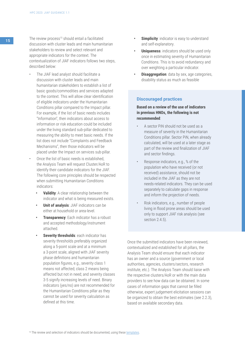- The JIAF lead analyst should facilitate a discussion with cluster leads and main humanitarian stakeholders to establish a list of basic goods/commodities and services adapted to the context. This will allow clear identification of eligible indicators under the Humanitarian Conditions pillar compared to the Impact pillar. For example, if the list of basic needs includes "Information", then indicators about access to information or risk education could be included under the living standard sub-pillar dedicated to measuring the ability to meet basic needs. If the list does not include "Complaints and Feedback Mechanisms", then those indicators will be placed under the Impact on services sub-pillar.
- Once the list of basic needs is established, the Analysis Team will request Cluster/AoR to identify their candidate indicators for the JIAF. The following core principles should be respected when submitting Humanitarian Conditions indicators:
	- **• Validity**: A clear relationship between the indicator and what is being measured exists.
	- **• Unit of analysis**: JIAF indicators can be either at household or area-level.
	- **• Transparency**: Each indicator has a robust and accepted methodology/instrument attached.
	- **• Severity thresholds**: each indicator has severity thresholds preferably organized along a 5-point scale and at a minimum a 3-point scale, aligned with JIAF severity phase definitions and humanitarian population figures, e.g., severity class 1 means not affected; class 2 means being affected but not in need; and severity classes 3-5 signify increasing levels of need. Binary indicators (yes/no) are not recommended for the Humanitarian Conditions pillar as they cannot be used for severity calculation as defined at this time.
- **Simplicity:** indicator is easy to understand and self-explanatory.
- **Uniqueness:** indicators should be used only once in estimating severity of Humanitarian Conditions. This is to avoid redundancy and over weighting a particular indicator.
- **Disaggregation**: data by sex, age categories, disability status as much as feasible

# **Discouraged practices**

# **Based on a review of the use of indicators in previous HNOs, the following is not recommended**:

- A sector PiN should not be used as a measure of severity in the Humanitarian Conditions pillar. Sector PiN, when already calculated, will be used at a later stage as part of the review and finalization of JIAF and sector findings.
- Response indicators, e.g., % of the population who have received (or not received) assistance, should not be included in the JIAF as they are not needs-related indicators. They can be used separately to calculate gaps in response and inform the projection of needs.
- Risk indicators, e.g., number of people living in flood prone areas should be used only to support JIAF risk analysis (see section 2.4.5).

Once the submitted indicators have been reviewed, contextualized and established for all pillars, the Analysis Team should ensure that each indicator has an owner and a source (government or local authorities, agencies, clusters/sectors, research institute, etc.). The Analysis Team should liaise with the respective clusters/AoR or with the main data providers to see how data can be obtained. In some cases of information gaps that cannot be filled otherwise, expert judgement elicitation sessions can be organized to obtain the best estimates (see 2.2.3), based on available secondary data.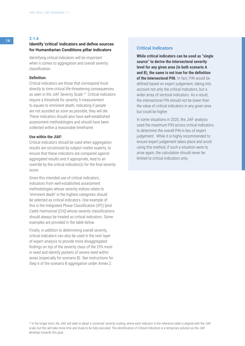# <sup>16</sup> **2.1.6 Identify 'critical' indicators and define sources for Humanitarian Conditions pillar indicators**

Identifying critical indicators will be important when it comes to aggregation and overall severity classification.

#### **Definition:**

Critical indicators are those that correspond most directly to time-critical life-threatening consequences, as seen in the JIAF Severity Scale.16 Critical indicators require a threshold for severity 5 measurement to equate to imminent death, indicating if people are not assisted as soon as possible, they will die. These indicators should also have well-established assessment methodologies and should have been collected within a reasonable timeframe.

### **Use within the JIAF:**

Critical indicators should be used when aggregation results are scrutinized by subject matter experts, to ensure that these indicators are compared against aggregated results and if appropriate, lead to an override by the critical indicator(s) for the final severity score.

Given this intended use of critical indicators, indicators from well-established assessment methodologies whose severity indices relate to 'imminent death' in the highest categories should be selected as critical indicators. One example of this is the Integrated Phase Classification (IPC) [and Cadre Harmonisé (CH)] whose severity classifications should always be treated as critical indicators. Some examples are provided in the table below.

Finally, in addition to determining overall severity, critical indicators can also be used in the next layer of expert analysis to provide more disaggregated findings on top of the severity class of the 25% most in need and identify pockets of severe need within areas (especially for scenario B). See instructions for Step 6 of the scenario B aggregation under Annex 2.

# **Critical Indicators**

**While critical indicators can be used as "single source" to derive the intersectoral severity level for any given area (in both scenario A and B), the same is not true for the definition of the intersectoral PiN.** In fact, PiN would be defined based on expert judgement, taking into account not only the critical indicators, but a wider array of sectoral indicators. As a result, the intersectoral PiN should not be lower than the value of critical indicators in any given area but could be higher.

In some situations in 2020, the JIAF analysis used the maximum PiN across critical indicators to determine the overall PiN in lieu of expert judgement. While it is highly recommended to ensure expert judgement takes place and avoid using this method, if such a situation were to arise again, the calculation should never be limited to critical indicators only.

<sup>&</sup>lt;sup>16</sup> In the longer term, the JIAF will seek to adopt a 'universal' severity scaling, where each indicator in the reference table is aligned with the JIAF scale, but this will take more time and study to be fully executed. The identification of Critical Indicators is a temporary solution as the JIAF develops towards this goal.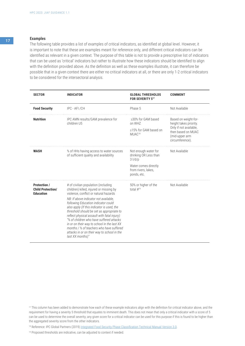# **Examples**

The following table provides a list of examples of critical indicators, as identified at global level. However, it is important to note that these are examples meant for reference only, and different critical indicators can be identified as relevant in a given context. The purpose of this table is not to provide a prescriptive list of indicators that can be used as 'critical' indicators but rather to illustrate how these indicators should be identified to align with the definition provided above. As the definition as well as these examples illustrate, it can therefore be possible that in a given context there are either no critical indicators at all, or there are only 1-2 critical indicators to be considered for the intersectoral analysis.

| <b>SECTOR</b>                                                       | <b>INDICATOR</b>                                                                                                                                                                                                                                                                                                                                                                                                                                                                                                                                             | <b>GLOBAL THRESHOLDS</b><br><b>FOR SEVERITY 517</b>                                                                        | <b>COMMENT</b>                                                                                                                      |
|---------------------------------------------------------------------|--------------------------------------------------------------------------------------------------------------------------------------------------------------------------------------------------------------------------------------------------------------------------------------------------------------------------------------------------------------------------------------------------------------------------------------------------------------------------------------------------------------------------------------------------------------|----------------------------------------------------------------------------------------------------------------------------|-------------------------------------------------------------------------------------------------------------------------------------|
| <b>Food Security</b>                                                | IPC - AFI / CH                                                                                                                                                                                                                                                                                                                                                                                                                                                                                                                                               | Phase 5                                                                                                                    | Not Available                                                                                                                       |
| <b>Nutrition</b>                                                    | IPC AMN results/GAM prevalence for<br>children U5                                                                                                                                                                                                                                                                                                                                                                                                                                                                                                            | $\geq$ 30% for GAM based<br>on WHZ<br>≥15% for GAM based on<br>MUAC <sup>18</sup>                                          | Based on weight-for-<br>height takes priority.<br>Only if not available,<br>then based on MUAC<br>(mid-upper arm<br>circumference). |
| <b>WASH</b>                                                         | % of HHs having access to water sources<br>of sufficient quality and availability                                                                                                                                                                                                                                                                                                                                                                                                                                                                            | Not enough water for<br>drinking OR Less than<br>$3$ $I/d/p$<br>Water comes directly<br>from rivers, lakes,<br>ponds, etc. | Not Available                                                                                                                       |
| <b>Protection /</b><br><b>Child Protection/</b><br><b>Education</b> | # of civilian population (including<br>children) killed, injured or missing by<br>violence, conflict or natural hazards<br>NB: If above indicator not available,<br>following Education indicator could<br>also apply (If this indicator is used, the<br>threshold should be set as appropriate to<br>reflect physical assault with fatal injury):<br>"% of children who have suffered attacks<br>in or on their way to school in the last XX<br>months / % of teachers who have suffered<br>attacks in or on their way to school in the<br>last XX months)" | 50% or higher of the<br>total $\#^{19}$                                                                                    | Not Available                                                                                                                       |

<sup>18</sup> Reference: IPC Global Partners (2019) [Integrated Food Security Phase Classification Technical Manual Version 3.0](http://www.ipcinfo.org/fileadmin/user_upload/ipcinfo/manual/IPC_Technical_Manual_3_Final.pdf).

<sup>19</sup> Proposed thresholds are indicative, can be adjusted to context if needed.

<sup>&</sup>lt;sup>17</sup> This column has been added to demonstrate how each of these example indicators align with the definition for critical indicator above, and the requirement for having a severity 5 threshold that equates to imminent death. This does not mean that only a critical indicator with a score of 5 can be used to determine the overall severity; any given score for a critical indicator can be used for this purpose if this is found to be higher than the aggregated severity score from the other indicators.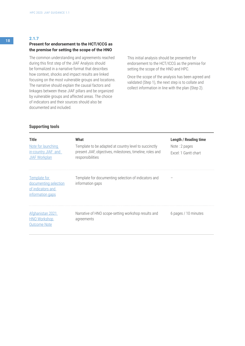# **Present for endorsement to the HCT/ICCG as the premise for setting the scope of the HNO**

The common understanding and agreements reached during this first step of the JIAF Analysis should be formalized in a narrative format that describes how context, shocks and impact results are linked focusing on the most vulnerable groups and locations. The narrative should explain the causal factors and linkages between these JIAF pillars and be organized by vulnerable groups and affected areas. The choice of indicators and their sources should also be documented and included.

This initial analysis should be presented for endorsement to the HCT/ICCG as the premise for setting the scope of the HNO and HPC.

Once the scope of the analysis has been agreed and validated (Step 1), the next step is to collate and collect information in line with the plan (Step 2).

# **Supporting tools**

| <b>Title</b><br>Note for launching<br>in-country JIAF and<br><b>JIAF Workplan</b> | What<br>Template to be adapted at country level to succinctly<br>present JIAF, objectives, milestones, timeline, roles and<br>responsibilities | <b>Length / Reading time</b><br>Note: 2 pages<br>Excel: 1 Gantt chart |
|-----------------------------------------------------------------------------------|------------------------------------------------------------------------------------------------------------------------------------------------|-----------------------------------------------------------------------|
| Template for<br>documenting selection<br>of indicators and<br>information gaps    | Template for documenting selection of indicators and<br>information gaps                                                                       |                                                                       |
| Afghanistan 2021<br><b>HNO Workshop</b><br><b>Outcome Note</b>                    | Narrative of HNO scope-setting workshop results and<br>agreements                                                                              | 6 pages / 10 minutes                                                  |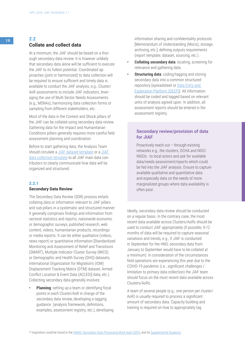# <sup>19</sup> **2.2 Collate and collect data**

At a minimum, the JIAF should be based on a thorough secondary data review. It is however unlikely that secondary data alone will be sufficient to execute the JIAF to its fullest potential. Coordinated approaches (joint or harmonized) to data collection will be required to ensure sufficient and timely data is available to conduct the JIAF analysis, e.g., Cluster/ AoR assessments to include JIAF indicators, leveraging the use of Multi Sector Needs Assessments (e.g., MSNAs), harmonizing data collection forms or sampling from different stakeholders, etc.

Most of the data in the Context and Shock pillars of the JIAF can be collated using secondary data review. Gathering data for the Impact and Humanitarian Conditions pillars generally requires more careful field assessment planning and coordination.

Before to start gathering data, the Analysis Team should circulate a [JIAF dataset template](https://kmp.hpc.tools/km/2022-jiaf-aggregation-scenario-template-and-example) or a [JIAF](https://kmp.hpc.tools/km/2022-jiaf-aggregation-scenario-template-and-example)  [data collection template](https://kmp.hpc.tools/km/2022-jiaf-aggregation-scenario-template-and-example) to all JIAF main data contributors to clearly communicate how data will be organized and structured.

#### **2.2.1**

#### **Secondary Data Review**

The Secondary Data Review (SDR) process entails collating data or information relevant to JIAF pillars and sub-pillars in a systematic and structured manner. It generally comprises findings and information from sectoral statistics and reports, nationwide economic or demographic surveys, published research, web content, videos, humanitarian products, recordings or media reports. It can be either qualitative (videos, news report) or quantitative information [Standardized Monitoring and Assessment of Relief and Transitions (SMART), Multiple Indicator Cluster Survey (MICS) or Demographic and Health Survey (DHS) datasets, International Organization for Migration's (IOM) Displacement Tracking Matrix (DTM) dataset, Armed Conflict Location & Event Data (ACLED)] data, etc.). Collecting secondary data generally involves:

**• Planning**: setting up a team or identifying focal points in each Cluster/AoR in charge of the secondary data review, developing a tagging guidance (analysis framework, definitions, examples, assessment registry, etc.), developing information sharing and confidentiality protocols [Memorandum of Understanding (MoUs), storage, archiving, etc.], defining outputs requirements (report template, dataset, sourcing, etc.).

- **• Collating secondary data**: locating, screening for relevance and gathering data.
- **• Structuring data**: coding/tagging and storing secondary data into a common structured repository [spreadsheet or [Data Entry and](https://www.thedeep.io/)  [Exploration Platform \(DEEP\)\]](https://www.thedeep.io/). All information should be coded and tagged based on relevant units of analysis agreed upon. In addition, all assessment reports should be entered in the assessment registry.

# **Secondary review/provision of data for JIAF**

Proactively reach out – through existing networks e.g., the clusters, OCHA and NGO/ INGOs - to local actors and ask for available data/needs assessment/reports which could be fed into the JIAF analysis. Ensure to capture available qualitative and quantitative data and especially data on the needs of more marginalized groups where data availability is often poor.

Ideally, secondary data review should be conducted on a regular basis. In the contrary case, the most recent data available across Clusters/AoRs should be used to conduct JIAF appropriately (if possible, 9-12 months of data will be required to capture seasonal variations and trends, e.g., if JIAF is conducted in September for the HNO, secondary data from January to September would have to be collated at a minimum). In consideration of the circumstances field operations are experiencing this year due to the COVID-19 pandemic (i.e., significant challenges / limitation to primary data collection) the JIAF team should focus on the most recent data available across Clusters/AoRs.

A team of several people (e.g., one person per cluster/ AoR) is usually required to process a significant amount of secondary data. Capacity building and training is required on how to appropriately tag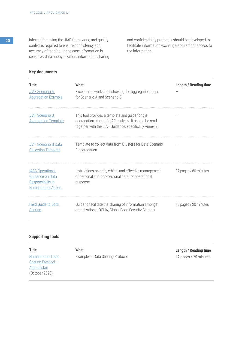**20** information using the JIAF framework, and quality control is required to ensure consistency and accuracy of tagging. In the case information is sensitive, data anonymization, information sharing and confidentiality protocols should be developed to facilitate information exchange and restrict access to the information.

# **Key documents**

| <b>Title</b><br><b>JIAF Scenario A</b><br><b>Aggregation Example</b>                           | What<br>Excel demo worksheet showing the aggregation steps<br>for Scenario A and Scenario B                                                                       | <b>Length / Reading time</b> |
|------------------------------------------------------------------------------------------------|-------------------------------------------------------------------------------------------------------------------------------------------------------------------|------------------------------|
| <b>JIAF Scenario B</b><br><b>Aggregation Template</b>                                          | This tool provides a template and guide for the<br>aggregation stage of JIAF analysis. It should be read<br>together with the JIAF Guidance, specifically Annex 2 |                              |
| <b>JIAF Scenario B Data</b><br><b>Collection Template</b>                                      | Template to collect data from Clusters for Data Scenario<br>B aggregation                                                                                         |                              |
| <b>IASC Operational</b><br>Guidance on Data<br>Responsibility in<br><b>Humanitarian Action</b> | Instructions on safe, ethical and effective management<br>of personal and non-personal data for operational<br>response                                           | 37 pages / 60 minutes        |
| <b>Field Guide to Data</b><br>Sharing                                                          | Guide to facilitate the sharing of information amongst<br>organizations (OCHA, Global Food Security Cluster)                                                      | 15 pages / 20 minutes        |

# **Supporting tools**

| <b>Title</b>       | What                             | <b>Length / Reading time</b> |
|--------------------|----------------------------------|------------------------------|
| Humanitarian Data  | Example of Data Sharing Protocol | 12 pages / 25 minutes        |
| Sharing Protocol - |                                  |                              |
| <b>Afghanistan</b> |                                  |                              |
| (October 2020)     |                                  |                              |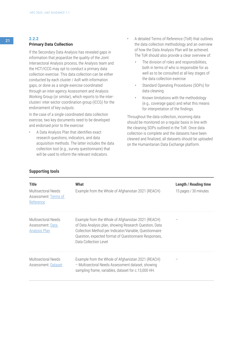# <sup>21</sup> **2.2.2 Primary Data Collection**

If the Secondary Data Analysis has revealed gaps in information that jeopardize the quality of the Joint Intersectoral Analysis process, the Analysis team and the HCT/ICCG may opt to conduct a primary data collection exercise. This data collection can be either conducted by each cluster / AoR with information gaps, or done as a single exercise coordinated through an inter-agency Assessment and Analysis Working Group (or similar), which reports to the intercluster/ inter-sector coordination group (ICCG) for the endorsement of key outputs.

In the case of a single coordinated data collection exercise, two key documents need to be developed and endorsed prior to the exercise:

• A Data Analysis Plan that identifies exact research questions, indicators, and data acquisition methods. The latter includes the data collection tool (e.g., survey questionnaire) that will be used to inform the relevant indicators.

- A detailed Terms of Reference (ToR) that outlines the data collection methodology and an overview of how the Data Analysis Plan will be achieved. The ToR should also provide a clear overview of:
	- The division of roles and responsibilities, both in terms of who is responsible for as well as to be consulted at all key stages of the data collection exercise
	- Standard Operating Procedures (SOPs) for data cleaning
	- Known limitations with the methodology (e.g., coverage gaps) and what this means for interpretation of the findings.

Throughout the data collection, incoming data should be monitored on a regular basis in line with the cleaning SOPs outlined in the ToR. Once data collection is complete and the datasets have been cleaned and finalized, all datasets should be uploaded on the Humanitarian Data Exchange platform.

# **Supporting tools**

| <b>Title</b><br>Multisectoral Needs<br>Assessment: Terms of<br>Reference | What<br>Example from the Whole of Afghanistan 2021 (REACH)                                                                                                                                                                                                | <b>Length / Reading time</b><br>15 pages / 30 minutes |
|--------------------------------------------------------------------------|-----------------------------------------------------------------------------------------------------------------------------------------------------------------------------------------------------------------------------------------------------------|-------------------------------------------------------|
| <b>Multisectoral Needs</b><br>Assessment: Data<br><b>Analysis Plan</b>   | Example from the Whole of Afghanistan 2021 (REACH)<br>of Data Analysis plan, showing Research Question, Data<br>Collection Method per Indicator/Variable, Questionnaire<br>Question, expected format of Questionnaire Responses,<br>Data Collection Level |                                                       |
| Multisectoral Needs<br>Assessment: Dataset                               | Example from the Whole of Afghanistan 2021 (REACH)<br>- Multisectoral Needs Assessment dataset, showing<br>sampling frame, variables, dataset for c.13,000 HH.                                                                                            |                                                       |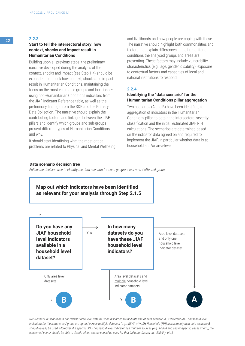# **Start to tell the intersectoral story: how context, shocks and impact result in Humanitarian Conditions**

Building upon all previous steps, the preliminary narrative developed during the analysis of the context, shocks and impact (see Step 1.4) should be expanded to unpack how context, shocks and impact result in Humanitarian Conditions, maintaining the focus on the most vulnerable groups and locations – using non-Humanitarian Conditions indicators from the JIAF Indicator Reference table, as well as the preliminary findings from the SDR and the Primary Data Collection. The narrative should explain the contributing factors and linkages between the JIAF pillars and identify which groups and sub-groups present different types of Humanitarian Conditions and why.

It should start identifying what the most critical problems are related to Physical and Mental Wellbeing

and livelihoods and how people are coping with these. The narrative should highlight both commonalities and factors that explain differences in the humanitarian conditions the analysed groups and areas are presenting. These factors may include vulnerability characteristics (e.g., age, gender, disability), exposure to contextual factors and capacities of local and national institutions to respond.

# **2.2.4**

# **Identifying the "data scenario" for the Humanitarian Conditions pillar aggregation**

Two scenarios (A and B) have been identified, for aggregation of indicators in the Humanitarian Conditions pillar, to obtain the intersectoral severity classification and the initial, estimated JIAF PiN calculations. The scenarios are determined based on the indicator data agreed on and required to implement the JIAF, in particular whether data is at household and/or area-level.

### **Data scenario decision tree**

*Follow the decision tree to identify the data scenario for each geographical area / affected group.*



*NB*: Neither Household data nor relevant area-level data must be discarded to facilitate use of data scenario A. If different JIAF household level *indicators for the same area / group are spread across multiple datasets (e.g., MSNA + WaSH Household (HH) assessment) then data scenario B should usually be used. Moreover, if a specific JIAF household level indicator has multiple sources (e.g., MSNA and sector-specific assessment), the concerned sector should be able to decide which source should be used for that indicator (based on reliability, etc.)*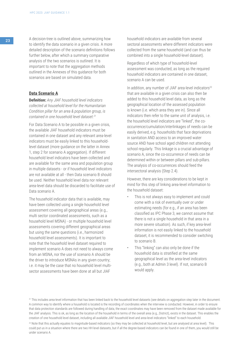23 A decision-tree is outlined above, summarizing how to identify the data scenario in a given crisis. A more detailed description of the scenario definitions follows further below, after which a summary comparative analysis of the two scenarios is outlined. It is important to note that the aggregation methods outlined in the Annexes of this guidance for both scenarios are based on simulated data.

# **Data Scenario A**

**Definition:** *Any JIAF household level indicators collected at household level for the Humanitarian Condition pillar for an area & population group, is contained in one household level dataset.21*

For Data Scenario A to be possible in a given crisis, the available JIAF household indicators must be contained in one dataset and any relevant area-level indicators must be easily linked to this householdlevel dataset (more guidance on the latter in Annex 1, step 2 for scenario A aggregation). If different household level indicators have been collected and are available for the same area and population group in multiple datasets - or if household level indicators are not available at all - then Data scenario B should be used. Neither household level data nor relevant area-level data should be discarded to facilitate use of Data scenario A.

The household indicator data that is available, may have been collected using a single household level assessment covering all geographical areas (e.g., multi sector coordinated assessments, such as a household level MSNA) - or multiple household level assessments covering different geographical areas but using the same questions (i.e., harmonized household level assessments). It is important to note that the household level dataset required to implement scenario A does not need to always come from an MSNA, nor the use of scenario A should be the driver to introduce MSNAs in any given country; i.e. it may be the case that no household level multisector assessments have been done at all but JIAF

household indicators are available from several sectoral assessments where different indicators were collected from the same household (and can thus be combined into a single household-level dataset).

Regardless of which type of household-level assessment was conducted, as long as the required household indicators are contained in one dataset, scenario A can be used.

In addition, any number of JIAF area-level indicators<sup>22</sup> that are available in a given crisis can also then be added to this household level data, as long as the geographical location of the assessed population is known (i.e. which area they are in). Since all indicators then refer to the same unit of analysis, i.e. the household level indicators are "linked", the cooccurrence/cumulation/interlinkages of needs can be easily derived, e.g. households that face deprivations in sanitation AND access to an improved water source AND have school aged children not attending school regularly. This linkage is a crucial advantage of scenario A, since the co-occurrence of needs can be determined within or between pillars and sub-pillars. The analysis of co-occurrences should feed the intersectoral analysis (Step 2.4).

However, there are key considerations to be kept in mind for this step of linking area-level information to the household dataset:

- This is not always easy to implement and could come with a risk of eventually over or under estimating needs (for e.g., if an area has been classified as IPC Phase 3, we cannot assume that there is not a single household in that area in a more severe situation). As such, if key area-level information is not easily linked to the household dataset, it is recommended to consider switching to scenario B.
- This "linking" can also only be done if the household data is stratified at the same geographical level as the area-level indicators (e.g., both at Admin 3 level). If not, scenario B would apply.

<sup>&</sup>lt;sup>21</sup> This includes area-level information that has been linked back to the household level datasets (see details on aggregation step later in the document. A common way to identify where a household is located is the recording of coordinates when the interview is conducted. However, in order to ensure that data protection standards are followed during handling of data, the exact coordinates may have been removed from the dataset made available for the JIAF analysis. This is ok, as long as the location of the household in terms of the overall area (e.g., District), exists in the dataset. This enables the creation of one household level dataset, including all available JIAF household level and area-level indicators "linked" to each household.

<sup>&</sup>lt;sup>22</sup> Note that this actually equates to magnitude-based indicators (so they may be collected at household level, but are analysed at area level). This could put us in a situation where there are two HH level datasets, but if all the degree-based indicators can be found in one of them, you would still be under scenario A.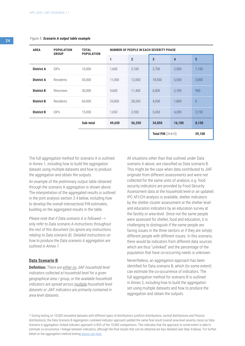#### *Figure 5. Scenario A output table example*

| <b>AREA</b>       | <b>POPULATION</b><br><b>GROUP</b> | <b>TOTAL</b><br><b>POPULATION</b> | <b>NUMBER OF PEOPLE IN EACH SEVERITY PHASE</b> |                |                     |        |          |
|-------------------|-----------------------------------|-----------------------------------|------------------------------------------------|----------------|---------------------|--------|----------|
|                   |                                   |                                   | 1                                              | $\overline{2}$ | 3                   | 4      | 5        |
| <b>District A</b> | <b>IDPs</b>                       | 10,000                            | 1,600                                          | 2,100          | 2,700               | 2,500  | 1,100    |
| <b>District A</b> | Residents                         | 50,000                            | 11,000                                         | 12,000         | 18,500              | 5,500  | 3,000    |
| <b>District B</b> | Returnees                         | 30,000                            | 9,600                                          | 11,400         | 6,000               | 2,100  | 900      |
| <b>District B</b> | Residents                         | 60,000                            | 25,800                                         | 28,200         | 4,200               | 1,800  | $\theta$ |
| <b>District B</b> | <b>IDPs</b>                       | 15,000                            | 1,650                                          | 2,550          | 3,450               | 4,200  | 3,150    |
|                   |                                   | Sub-total                         | 49,650                                         | 56,250         | 34,850              | 16,100 | 8,150    |
|                   |                                   |                                   |                                                |                | Total PiN $(3+4+5)$ |        | 59,100   |

The full aggregation method for scenario A is outlined in Annex 1, including how to build the aggregation dataset using multiple datasets and how to produce the aggregation and obtain the outputs.

An example of the preliminary output table obtained through the scenario A aggregation is shown above. The interpretation of the aggregated results is outlined in the joint analysis section 2.4 below, including how to develop the overall intersectoral PiN estimates, building on the aggregated results in the table.

*Please note that if Data scenario A is followed --> only refer to Data scenario A instructions throughout the rest of this document (so ignore any instructions relating to Data scenario B). Detailed instructions on how to produce the Data scenario A aggregation are outlined in Annex 1.*

# **Data Scenario B**

**Definition:** *There are either no JIAF household level indicators collected at household level for a given geographical area / group, or the available household indicators are spread across multiple household level datasets or JIAF indicators are primarily contained in area-level datasets.*

All situations other than that outlined under Data scenario A above, are classified as Data scenario B. This might be the case when data contributed to JIAF originate from different assessments and were not collected for the same units of analysis, e.g. food security indicators are provided by Food Security Assessment data at the household level or an updated IPC AFI/CH analysis is available, shelter indicators by the shelter cluster assessment at the shelter level and education indicators by an education survey at the facility or area-level. Since not the same people were assessed for shelter, food and education, it is challenging to distinguish if the same people are facing issues in the three sectors or if they are simply different people with different issues. In this scenario, there would be indicators from different data sources which are thus "unlinked" and the percentage of the population that have co-occurring needs is unknown.

Nevertheless, an aggregation approach has been identified for Data scenario B, which (to some extent) can estimate the co-occurrence of indicators. The full aggregation method for scenario B is outlined in Annex 2, including how to build the aggregation set using multiple datasets and how to produce the aggregation and obtain the outputs.

23 During testing on 10,000 simulated datasets with different types of distributions (uniform distributions, normal distributions and Poisson distributions), the Data Scenario B Aggregation /unlinked indicator approach yielded the same final result (overall area-level severity class) as Data Scenario A aggregation /linked indicator approach in 83% of the 10,000 comparisons. This indicates that the approach to some extent is able to estimate co-occurrence / linkage between indicators, although the final results that can be obtained are less detailed (see Step 4 below). For further detail on the aggregation method testing [please see here.](https://kmp.hpc.tools/km/testing-jiaf-aggregation-methods-final-review)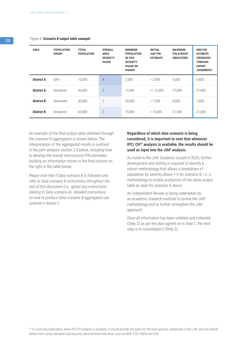#### *Figure 6. Scenario B output table example*

| <b>AREA</b>       | <b>POPULATION</b><br><b>GROUP</b> | <b>TOTAL</b><br><b>POPULATION</b> | <b>OVERALL</b><br><b>AREA</b><br><b>SEVERITY</b><br><b>PHASE</b> | <b>MINIMUM</b><br><b>POPULATION</b><br><b>IN THIS</b><br><b>SEVERITY</b><br><b>PHASE OR</b><br><b>HIGHER</b> | <b>INITIAL</b><br><b>JIAF PIN</b><br><b>ESTIMATE</b> | <b>MAXIMUM</b><br><b>PIN ACROSS</b><br><b>INDICATORS</b> | <b>HNO PIN</b><br><b>ESTIMATE</b><br>(PRODUCED<br><b>THROUGH</b><br><b>EXPERT</b><br><b>JUDGEMENT)</b> |
|-------------------|-----------------------------------|-----------------------------------|------------------------------------------------------------------|--------------------------------------------------------------------------------------------------------------|------------------------------------------------------|----------------------------------------------------------|--------------------------------------------------------------------------------------------------------|
| <b>District A</b> | <b>IDPs</b>                       | 10.000                            | 4                                                                | 2,500                                                                                                        | > 2,500                                              | 6.000                                                    | 6,800                                                                                                  |
| <b>District A</b> | Residents                         | 50.000                            | 3                                                                | 12,500                                                                                                       | $>= 12.500$                                          | 27.000                                                   | 27,600                                                                                                 |
| <b>District B</b> | Returnees                         | 30,000                            |                                                                  | 30,000                                                                                                       | < 7.500                                              | 8.000                                                    | 7,600                                                                                                  |
| <b>District B</b> | Residents                         | 60.000                            | $\overline{2}$                                                   | 15,000                                                                                                       | < 15,000                                             | 21.500                                                   | 21,000                                                                                                 |

An example of the final output table obtained through the scenario B aggregation is shown below. The interpretation of the aggregated results is outlined in the joint analysis section 2.4 below, including how to develop the overall intersectoral PiN estimates building on information shown in the final column on the right in the table below.

*Please note that if Data scenario B is followed only refer to Data scenario B instructions throughout the rest of this document (i.e., ignore any instructions relating to Data scenario A). Detailed instructions on how to produce Data scenario B aggregation are outlined in Annex 2.*

# **Regardless of which data scenario is being considered, it is important to note that whenever IPC/ CH24 analysis is available, the results should be used as input into the JIAF analysis.**

As noted in the JIAF Guidance issued in 2020, further development and testing is required to identify a robust methodology that allows a breakdown of population by severity phase 1-5 for scenario B, i.e. a methodology to enable production of the same output table as seen for scenario A above.

An Independent Review is being undertaken by an academic research institute to review the JIAF methodology and to further strengthen the JIAF approach.

Once all information has been collated and collected (Step 2) as per the plan agreed on in Step 1, the next step is to consolidate it (Step 3).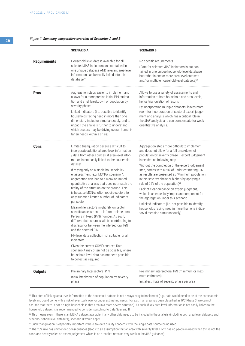### *Figure 7. Summary comparative overview of Scenarios A and B*

|                     | <b>SCENARIO A</b>                                                                                                                                                                                                                                                                                                                                                                                                                                                                                                                                                                                                                                                                                                                                                                                                                                                                                                                                                                                                                                                 | <b>SCENARIO B</b>                                                                                                                                                                                                                                                                                                                                                                                                                                                                                                                                                                                                                                                                                                          |
|---------------------|-------------------------------------------------------------------------------------------------------------------------------------------------------------------------------------------------------------------------------------------------------------------------------------------------------------------------------------------------------------------------------------------------------------------------------------------------------------------------------------------------------------------------------------------------------------------------------------------------------------------------------------------------------------------------------------------------------------------------------------------------------------------------------------------------------------------------------------------------------------------------------------------------------------------------------------------------------------------------------------------------------------------------------------------------------------------|----------------------------------------------------------------------------------------------------------------------------------------------------------------------------------------------------------------------------------------------------------------------------------------------------------------------------------------------------------------------------------------------------------------------------------------------------------------------------------------------------------------------------------------------------------------------------------------------------------------------------------------------------------------------------------------------------------------------------|
| <b>Requirements</b> | Household level data is available for all<br>selected JIAF indicators and contained in<br>one unique database AND relevant area-level<br>information can be easily linked into this<br>database <sup>25</sup>                                                                                                                                                                                                                                                                                                                                                                                                                                                                                                                                                                                                                                                                                                                                                                                                                                                     | No specific requirements<br>(Data for selected JIAF indicators is not con-<br>tained in one unique household-level database<br>but rather in one or more area-level datasets<br>and/ or multiple household-level datasets) <sup>26</sup>                                                                                                                                                                                                                                                                                                                                                                                                                                                                                   |
| <b>Pros</b>         | Aggregation steps easier to implement and<br>allows for a more precise initial PiN estima-<br>tion and a full breakdown of population by<br>severity phase<br>Linked indicators (i.e. possible to identify<br>households facing need in more than one<br>dimension/ indicator simultaneously, and to<br>unpack the analysis further to understand<br>which sectors may be driving overall humani-<br>tarian needs within a crisis)                                                                                                                                                                                                                                                                                                                                                                                                                                                                                                                                                                                                                                | Allows to use a variety of assessments and<br>information at both household and area-levels,<br>hence triangulation of results<br>By incorporating multiple datasets, leaves more<br>room for incorporation of sectoral expert judge-<br>ment and analysis which has a critical role in<br>the JIAF analysis and can compensate for weak<br>quantitative analysis.                                                                                                                                                                                                                                                                                                                                                         |
| Cons                | Limited triangulation because difficult to<br>incorporate additional area-level information<br>/ data from other sources, if area-level infor-<br>mation is not easily linked to the household<br>dataset <sup>27</sup><br>If relying only on a single household-lev-<br>el assessment (e.g. MSNA), scenario A<br>aggregation can lead to a weak or limited<br>quantitative analysis that does not match the<br>reality of the situation on the ground. This<br>is because MSNAs often require sectors to<br>only submit a limited number of indicators<br>per sector.<br>Meanwhile, sectors might rely on sector<br>specific assessment to inform their sectoral<br>Persons in Need (PiN) number. As such,<br>different data sources will be contributing to<br>discrepancy between the intersectoral PiN<br>and the sectoral PiN<br>HH-level data collection not suitable for all<br>indicators<br>Given the current COVID context, Data<br>scenario A may often not be possible, where<br>household level data has not been possible<br>to collect as required | Aggregation steps more difficult to implement<br>and does not allow for a full breakdown of<br>population by severity phase - expert judgement<br>is needed as following step<br>Without the completion of the expert judgement<br>step, comes with a risk of under-estimating PiN<br>as results are presented as "Minimum population<br>in this severity phase or higher (by applying a<br>rule of 25% of the population) <sup>28</sup><br>Lack of clear guidance on expert judgment,<br>which is an especially important component for<br>the aggregation under this scenario<br>Unlinked indicators (i.e. not possible to identify<br>households facing need in more than one indica-<br>tor/ dimension simultaneously) |
| <b>Outputs</b>      | Preliminary Intersectoral PiN<br>Initial breakdown of population by severity<br>phase                                                                                                                                                                                                                                                                                                                                                                                                                                                                                                                                                                                                                                                                                                                                                                                                                                                                                                                                                                             | Preliminary Intersectoral PiN (minimum or maxi-<br>mum estimates)<br>Initial estimate of severity phase per area                                                                                                                                                                                                                                                                                                                                                                                                                                                                                                                                                                                                           |

<sup>25</sup> This step of linking area-level information to the household dataset is not always easy to implement (e.g., data would need to be at the same admin level) and could come with a risk of eventually over or under estimating needs (for e.g., if an area has been classified as IPC Phase 3, we cannot assume that there is not a single household in that area in a more severe situation). As such, if key area-level information is not easily linked to the household dataset, it is recommended to consider switching to Data Scenario B

<sup>26</sup> This means even if there is an MSNA dataset available, if any other data needs to be included in the analysis (including both area-level datasets and other household-level datasets), scenario B would apply.

<sup>27</sup> Such triangulation is especially important if there are data quality concerns with the single data source being used

<sup>28</sup> The 25% rule has unintended consequences (leads to an assumption that an area with severity level 1 or 2 has no people in need when this is not the case, and heavily relies on expert judgement which is an area that remains very weak in the JIAF guidance)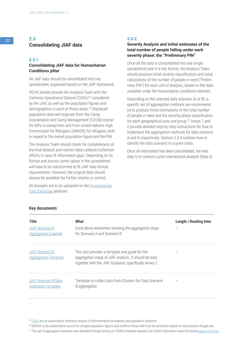# <sup>27</sup> **2.3 Consolidating JIAF data**

### **2.3.1**

# **Consolidating JIAF data for Humanitarian Conditions pillar**

All JIAF data should be consolidated into one spreadsheet, organized based on the JIAF framework.

OCHA should provide the Analysis Team with the Common Operational Dataset (CODs)29 considered by the JIAF, as well as the population figures and demographics in each of those areas.30 Displaced population data will originate from the Camp Coordination and Camp Management (CCCM) cluster for IDPs in camp/sites and from United Nations High Commission for Refugees (UNHCR) for refugees, both in regard to the overall population figure and the PiN.

The Analysis Team should check for completeness of the final dataset and redirect data collation/collection efforts in case of information gaps. Depending on its format and source, some values in the spreadsheet will have to be transformed to fit JIAF data format requirements. However, the original data should always be available for further checks or control.

All datasets are to be uploaded on the [Humanitarian](https://data.humdata.org/)  [Data Exchange](https://data.humdata.org/) platform.

# **2.3.2**

# **Severity Analysis and initial estimates of the total number of people falling under each severity phase: the "Preliminary PiN"**

Once all the data is consolidated into one single spreadsheet and in a tidy format, the Analysis Team should produce initial severity classification and initial calculations of the number of people in need ("Preliminary PiN") for each unit of analysis, based on the data available under the humanitarian conditions element.

Depending on the selected data scenario (A or B), a specific set of aggregation methods are recommended to produce initial estimations of the total number of people in need and the severity phase classification for each geographical area and group.31 Annex 1 and 2 provide detailed step-by-step instructions for how to implement the aggregation methods for data scenario A and B respectively. Section 2.2.4 outlines how to identify the data scenario in a given crisis.

Once all information has been consolidated, the next step is to conduct a joint intersectoral analysis (Step 4).

| Title<br>JIAF Scenario A<br><b>Aggregation Example</b>    | What<br>Excel demo worksheet showing the aggregation steps<br>for Scenario A and Scenario B                                                                       | Length / Reading time |
|-----------------------------------------------------------|-------------------------------------------------------------------------------------------------------------------------------------------------------------------|-----------------------|
| <b>JIAF Scenario B</b><br><b>Aggregation Template</b>     | This tool provides a template and quide for the<br>aggregation stage of JIAF analysis. It should be read<br>together with the JIAF Guidance, specifically Annex 2 |                       |
| <b>JIAF Scenario B Data</b><br><b>Collection Template</b> | Template to collect data from Clusters for Data Scenario<br>B aggregation                                                                                         |                       |

# **Key documents**

<sup>29</sup> [CODs](https://data.humdata.org/dashboards/cod) are an authoritative reference dataset of administrative boundaries and population statistics.

<sup>30</sup> UNHCR is the authoritative source for refugee population figures and confirms these with host Governments based on international refugee law.

<sup>31</sup> This set of aggregation methods were identified through testing on 10,000 simulated datasets, for further information about the testing [please see here.](https://www.dropbox.com/sh/o28t8o4my2rf62h/AAC_WGQSfe24PagaqBa9qljua?dl=0)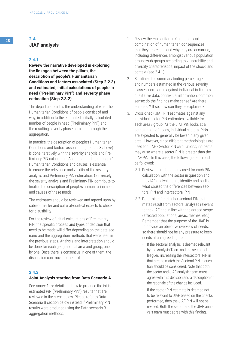# <sup>28</sup> **2.4 JIAF analysis**

# **2.4.1**

**Review the narrative developed in exploring the linkages between the pillars, the description of people's Humanitarian Conditions and factors associated (Step 2.2.3) and estimated, initial calculations of people in need ("Preliminary PiN") and severity phase estimation (Step 2.3.2)**

The departure point is the understanding of what the Humanitarian Conditions of people consist of and why, in addition to the estimated, initially calculated number of people in need ("Preliminary PiN") and the resulting severity phase obtained through the aggregation.

In practice, the description of people's Humanitarian Conditions and factors associated (step 2.2.3 above) is done iteratively with the severity analysis and Preliminary PiN calculation. An understanding of people's Humanitarian Conditions and causes is essential to ensure the relevance and validity of the severity analysis and Preliminary PiN estimation. Conversely, the severity analysis and Preliminary PiN contribute to finalize the description of people's humanitarian needs and causes of these needs.

The estimates should be reviewed and agreed upon by subject matter and cultural/context experts to check for plausibility.

For the review of initial calculations of Preliminary PiN, the specific process and types of decision that need to be made will differ depending on the data scenario and the aggregation methods that were used in the previous steps. Analysis and interpretation should be done for each geographical area and group, one by one. Once there is consensus in one of them, the discussion can move to the next.

# **2.4.2**

#### **Joint Analysis starting from Data Scenario A**

See Annex 1 for details on how to produce the initial estimated PiN ("Preliminary PiN") results that are reviewed in the steps below. Please refer to Data Scenario B section below instead if Preliminary PiN results were produced using the Data scenario B aggregation methods.

- 1. Review the Humanitarian Conditions and combination of humanitarian consequences that they represent, and why they are occurring, including differences amongst various population groups/sub-groups according to vulnerability and diversity characteristics, impact of the shock, and context (see 2.4.1).
- 2. Scrutinize the summary finding percentages and numbers estimated in the various severity classes, comparing against individual indicators, qualitative data, contextual information, common sense: do the findings make sense? Are there surprises? If so, how can they be explained?
- 3. Cross-check JIAF PiN estimates against any individual sector PiN estimates available for each area / group. As the JIAF PiN looks at a combination of needs, individual sectoral PiNs are expected to generally be lower in any given area. However, since different methodologies are used for JIAF / Sector PiN calculations, incidents may arise where a sector PiN is greater than the JIAF PiN. In this case, the following steps must be followed:
	- 3.1 Review the methodology used for each PiN calculation with the sector in question and the JIAF analysis team; identify and outline what caused the differences between sectoral PiN and intersectoral PiN
	- 3.2 Determine if the higher sectoral PiN estimates result from sectoral analyses relevant to the JIAF and in line with the agreed scope (affected populations, areas, themes, etc.). Remember that the purpose of the JIAF is to provide an objective overview of needs, so there should not be any pressure to keep needs at an agreed figure.
		- If the sectoral analysis is deemed relevant by the Analysis Team and the sector colleagues, increasing the intersectoral PiN in that area to match the Sectoral PiN in question should be considered. Note that both the sector and JIAF analysis team must agree with this decision and a description of the rationale of the change included.
		- If the sector PiN estimate is deemed not to be relevant to JIAF based on the checks performed, then the JIAF PiN will not be revised. Both the sector and the JIAF analysis team must agree with this finding.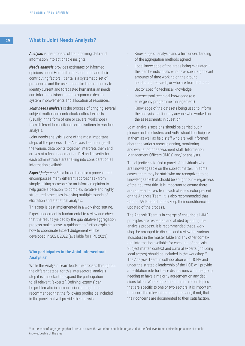# **What is Joint Needs Analysis?**

*Analysis* is the process of transforming data and information into actionable insights.

*Needs analysis* provides estimates or informed opinions about Humanitarian Conditions and their contributing factors. It entails a systematic set of procedures and the use of specific lines of inquiry to identify current and forecasted humanitarian needs, and inform decisions about programme design, system improvements and allocation of resources.

**Joint needs analysis** is the process of bringing several subject matter and contextual/ cultural experts (usually in the form of one or several workshops) from different humanitarian organisations to conduct analysis.

Joint needs analysis is one of the most important steps of the process. The Analysis Team brings all the various data points together, interprets them and arrives at a final judgement on PiN and severity for each administrative area taking into consideration all information available.

**Expert judgement** is a broad term for a process that encompasses many different approaches - from simply asking someone for an informed opinion to help guide a decision, to complex, iterative and highly structured processes involving multiple rounds of elicitation and statistical analysis.

This step is best implemented in a workshop setting.

Expert judgement is fundamental to review and check that the results yielded by the quantitative aggregation process make sense. A guidance to further explain how to coordinate Expert Judgement will be developed in 2021/2022 (available for HPC 2023).

# **Who participates in the Joint Intersectoral Analysis?**

While the Analysis Team leads the process throughout the different steps, for this intersectoral analysis step it is important to expand the participation to all relevant "experts". Defining 'experts' can be problematic in humanitarian settings. It is recommended that the following profiles be included in the panel that will provide the analysis:

- Knowledge of analysis and a firm understanding of the aggregation methods agreed
- Local knowledge of the areas being evaluated this can be individuals who have spent significant amounts of time working on the ground, conducting research, or who are from that area
- Sector specific technical knowledge
- Intersectoral technical knowledge (e.g. emergency programme management)
- Knowledge of the datasets being used to inform the analysis, particularly anyone who worked on the assessments in question

Joint analysis sessions should be carried out in plenary and all clusters and AoRs should participate in them as well as field staff who are well informed about the various areas, planning, monitoring and evaluation or assessment staff, Information Management Officers (IMOs) and/ or analysts.

The objective is to find a panel of individuals who are knowledgeable on the subject matter. In some cases, there may be staff who are recognized to be knowledgeable that should be sought out – regardless of their current title. It is important to ensure there are representatives from each cluster/sector present on the Analysis Team. It is also recommended that Cluster /AoR coordinators keep their constituencies updated of the process.

The Analysis Team is in charge of ensuring all JIAF principles are respected and abided by during the analysis process. It is recommended that a workshop be arranged to discuss and review the various indicators in the master table and any other contextual information available for each unit of analysis. Subject matter, context and cultural experts (including local actors) should be included in the workshop.<sup>32</sup> The Analysis Team in collaboration with OCHA and under the strategic leadership of the HCT, will provide a facilitation role for these discussions with the group needing to have a majority agreement on any decisions taken. Where agreement is required on topics that are specific to one or two sectors, it is important to ensure the relevant sectors agree and, if not, that their concerns are documented to their satisfaction.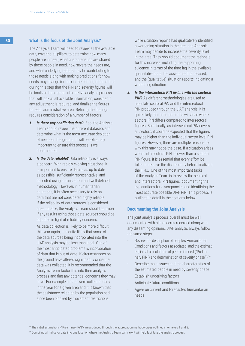# 30 **What is the focus of the Joint Analysis?**

The Analysis Team will need to review all the available data, covering all pillars, to determine how many people are in need, what characteristics are shared by those people in need, how severe the needs are, and what underlying factors may be contributing to those needs along with making predictions for how needs may change (or not) in the coming months. It is during this step that the PiN and severity figures will be finalized through an interpretive analysis process that will look at all available information, consider if any adjustment is required, and finalize the figures for each administrative area. Refining the findings requires consideration of a number of factors:

- *1. Is there any conflicting data?* If so, the Analysis Team should review the different datasets and determine what is the most accurate depiction of needs on the ground. It will be extremely important to ensure this process is well documented.
- *2. Is the data reliable?* Data reliability is always a concern. With rapidly evolving situations, it is important to ensure data is as up to date as possible, sufficiently representative, and collected using a transparent and well-defined methodology. However, in humanitarian situations, it is often necessary to rely on data that are not considered highly reliable. If the reliability of data sources is considered questionable, the Analysis Team should consider if any results using those data sources should be adjusted in light of reliability concerns.

As data collection is likely to be more difficult this year again, it is quite likely that some of the data sources being incorporated into the JIAF analysis may be less than ideal. One of the most anticipated problems is incorporation of data that is out-of-date. If circumstances on the ground have altered significantly since the data was collected, it is recommended that the Analysis Team factor this into their analysis process and flag any potential concerns they may have. For example, if data were collected early in the year for a given area and it is known that the assistance relied on by the population had since been blocked by movement restrictions,

while situation reports had qualitatively identified a worsening situation in the area, the Analysis Team may decide to increase the severity level in the area. They should document the rationale for this increase, including the supporting evidence in terms of the time-lag in the available quantitative data; the assistance that ceased; and the (qualitative) situation reports indicating a worsening situation.

*3. Is the intersectoral PiN in-line with the sectoral*  **PIN?** As different methodologies are used to calculate sectoral PiN and the intersectoral PiN produced through the JIAF analysis, it is quite likely that circumstances will arise where sectoral PiN differs compared to intersectoral figures. Specifically, as intersectoral PiN covers all sectors, it could be expected that the figures may be higher than the individual sector level PiN figures. However, there are multiple reasons for why this may not be the case. If a situation arises where intersectoral PiN is lower than a sectoral PiN figure, it is essential that every effort be taken to resolve the discrepancy before finalizing the HNO. One of the most important tasks of the Analysis Team is to review the sectoral and intersectoral PiN figures, documenting the explanations for discrepancies and identifying the most accurate possible JIAF PiN. This process is outlined in detail in the sections below.

# **Documenting the Joint Analysis**

The joint analysis process overall must be well documented with all concerns recorded along with any dissenting opinions. JIAF analysis always follow the same steps:

- Review the description of people's Humanitarian Conditions and factors associated, and the estimated, initial calculations of people in need ("Preliminary PiN") and determination of severity phase<sup>33, 34</sup>
- Describe main issues and the characteristics of the estimated people in need by severity phase
- Establish underlying factors
- Anticipate future conditions
- Agree on current and forecasted humanitarian needs

<sup>34</sup> Compiling all indicator data into one location where the Analysis Team can view it will help facilitate the analysis process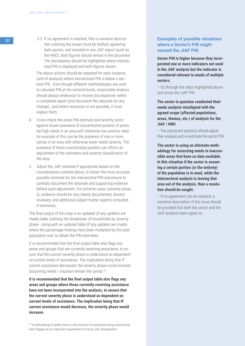31 3.3 If no agreement is reached, then a narrative description outlining the issues must be drafted, agreed by both parties, and included in any JIAF report (such as the HNO). Both figures should remain in the document. The discrepancy should be highlighted where intersec toral PiN is displayed and both figures shown.

> The above actions should be repeated for each instance (unit of analysis) where intersectoral PiN is below a sec toral PiN. Even though different methodologies are used to calculate PiN at the sectoral levels, responsible analysis should always endeavour to resolve discrepancies within a completed report (and document the rationale for any change) , and where resolution is not possible, it must explain them.

- 4. Cross-check the areas PiN estimate and severity score against known presence of concentrated pockets of poten tial high needs in an area with otherwise low severity need. An example of this can be the presence of one or more camps in an area with otherwise lower needs severity. The presence of these concentrated pockets can inform an adjustment of the estimates and severity classification of the area.
- 5. Adjust the JIAF estimate if appropriate based on the considerations outlined above, to obtain the most accurate possible estimate for the intersectoral PiN and ensure to carefully document the rationale and supporting evidence behind each adjustment. For extreme cases (severity phase 5), evidence should be very clearly documented, dissent reviewed, and additional subject matter experts consulted if necessary.

The final output of this step is an updated (if any updates are made) table outlining the breakdown of households by severity phase - along with an updated table (if any updates are made) where the percentage findings have been multiplied by the total population size, to obtain the PiN estimates.

It is recommended that the final output table also flags any areas and groups that are currently receiving assistance, to en sure that the current severity phase is understood as dependent on current levels of assistance. The implication being that IF current assistance decreased, the severity phase could increase (assuming needs / situation remain the same).<sup>35</sup>

**It is recommended that the final output table also flags any areas and groups where those currently receiving assistance have not been incorporated into the analysis, to ensure that the current severity phase is understood as dependent on current levels of assistance. The implication being that IF current assistance would decrease, the severity phase would increase.**

<sup>35</sup> A methodology to better factor in the inclusion of assistance being received has been flagged as an important requirement for future JIAF development.

# **Examples of possible situations where a Sector's PiN might exceed the JIAF PiN**

**Sector PiN is higher because they incor porated one or more indicators not used in the JIAF analysis but the indicator is considered relevant to needs of multiple sectors.**

– Go through the steps highlighted above and revise the JIAF PiN.

**The sector in question conducted their needs analysis misaligned with the agreed scope (affected populations, areas, themes, etc.) of analysis for the JIAF / HNO** .

– The concerned sector(s) should adjust their analysis and re-estimate the sector PiN

**The sector is using an alternate meth odology for assessing needs in inacces sible areas that have no data available. In this situation if the sector is assum ing a certain portion (or the entirety) of the population is in need, while the intersectoral analysis is leaving that area out of the analysis, then a resolu tion should be sought.**

– If no agreement can be reached, a narrative description of the issue should be provided that both the sector and the JIAF analysis team agree on.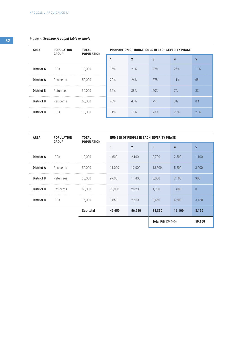# *Figure 7. Scenario A output table example*

| <b>AREA</b>       | <b>POPULATION</b><br><b>GROUP</b> | <b>TOTAL</b><br><b>POPULATION</b> | <b>PROPORTION OF HOUSEHOLDS IN EACH SEVERITY PHASE</b> |                |     |     |     |  |  |
|-------------------|-----------------------------------|-----------------------------------|--------------------------------------------------------|----------------|-----|-----|-----|--|--|
|                   |                                   |                                   |                                                        | $\overline{2}$ | 3   | 4   | 5   |  |  |
| <b>District A</b> | <b>IDPs</b>                       | 10,000                            | 16%                                                    | 21%            | 27% | 25% | 11% |  |  |
| <b>District A</b> | Residents                         | 50.000                            | 22%                                                    | 24%            | 37% | 11% | 6%  |  |  |
| <b>District B</b> | Returnees                         | 30,000                            | 32%                                                    | 38%            | 20% | 7%  | 3%  |  |  |
| <b>District B</b> | Residents                         | 60.000                            | 43%                                                    | 47%            | 7%  | 3%  | 0%  |  |  |
| <b>District B</b> | <b>IDPs</b>                       | 15,000                            | 11%                                                    | 17%            | 23% | 28% | 21% |  |  |

| <b>AREA</b>       | <b>POPULATION</b><br><b>GROUP</b> | <b>TOTAL</b><br><b>POPULATION</b> | <b>NUMBER OF PEOPLE IN EACH SEVERITY PHASE</b> |                |                     |        |                 |  |  |
|-------------------|-----------------------------------|-----------------------------------|------------------------------------------------|----------------|---------------------|--------|-----------------|--|--|
|                   |                                   |                                   | 1                                              | $\overline{2}$ | 3                   | 4      | $5\phantom{.0}$ |  |  |
| <b>District A</b> | <b>IDPs</b>                       | 10,000                            | 1,600                                          | 2,100          | 2,700               | 2,500  | 1,100           |  |  |
| <b>District A</b> | Residents                         | 50,000                            | 11,000                                         | 12,000         | 18,500              | 5,500  | 3,000           |  |  |
| <b>District B</b> | Returnees                         | 30,000                            | 9,600                                          | 11,400         | 6,000               | 2,100  | 900             |  |  |
| <b>District B</b> | Residents                         | 60,000                            | 25,800                                         | 28,200         | 4,200               | 1,800  | $\theta$        |  |  |
| <b>District B</b> | <b>IDPs</b>                       | 15,000                            | 1,650                                          | 2,550          | 3,450               | 4,200  | 3,150           |  |  |
|                   |                                   | Sub-total                         | 49,650                                         | 56,250         | 34,850              | 16,100 | 8,150           |  |  |
|                   |                                   |                                   |                                                |                | Total PiN $(3+4+5)$ | 59,100 |                 |  |  |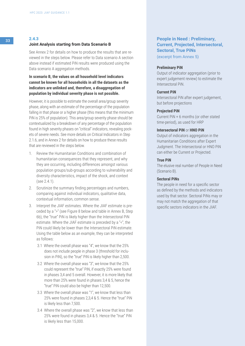# <sup>33</sup> **2.4.3**

#### **Joint Analysis starting from Data Scenario B**

See Annex 2 for details on how to produce the results that are reviewed in the steps below. Please refer to Data scenario A section above instead if estimated PiN results were produced using the Data scenario A aggregation methods.

# **In scenario B, the values on all household level indicators cannot be known for all households in all the datasets as the indicators are unlinked and, therefore, a disaggregation of population by individual severity phase is not possible.**

However, it is possible to estimate the overall area/group severity phase, along with an estimate of the percentage of the population falling in that phase or a higher phase (this means that the minimum PiN is 25% of population). This area/group severity phase should be contextualized by a breakdown of any percentage of the population found in high severity phases on "critical" indicators, revealing pockets of severe needs. See more details on Critical Indicators in Step 2.1.6, and in Annex 2 for details on how to produce these results that are reviewed in the steps below.

- 1. Review the Humanitarian Conditions and combination of humanitarian consequences that they represent, and why they are occurring, including differences amongst various population groups/sub-groups according to vulnerability and diversity characteristics, impact of the shock, and context (see 2.4.1).
- 2. Scrutinize the summary finding percentages and numbers, comparing against individual indicators, qualitative data, contextual information, common sense.
- 3. Interpret the JIAF estimates. Where the JIAF estimate is preceded by a ">" (see Figure 8 below and table in Annex B, Step 6b), the "true" PiN is likely higher than the Intersectoral PiN estimate. Where the JIAF estimate is preceded by a "<", the PiN could likely be lower than the Intersectoral PiN estimate. Using the table below as an example, they can be interpreted as follows:
	- 3.1 Where the overall phase was "4", we know that the 25% does not include people in phase 3 (threshold for inclusion in PiN), so the "true" PiN is likely higher than 2,500.
	- 3.2 Where the overall phase was "3", we know that the 25% could represent the "true" PiN, if exactly 25% were found in phases 3,4 and 5 overall. However, it is more likely that more than 25% were found in phases 3,4 & 5, hence the "true" PiN could also be higher than 12,500.
	- 3.3 Where the overall phase was "1", we know that less than 25% were found in phases 2,3,4 & 5. Hence the "true" PiN is likely less than 7,500.
	- 3.4 Where the overall phase was "2", we know that less than 25% were found in phases 3,4 & 5. Hence the "true" PiN is likely less than 15,000.

# **People in Need : Preliminary, Current, Projected, Intersectoral, Sectoral, True PiNs**

(excerpt from Annex 5)

#### **Preliminary PiN**

Output of indicator aggregation (prior to expert judgement review) to estimate the Intersectoral PiN.

#### **Current PiN**

Intersectoral PiN after expert judgement, but before projections

#### **Projected PiN**

Current PiN + 6 months (or other stated time-period), as used for HRP

#### **Intersectoral PiN** or **HNO PiN**

Output of indicators aggregation in the Humanitarian Conditions after Expert Judgment. The Intersectoral or HNO PiN can either be Current or Projected.

#### **True PiN**

The elusive real number of People in Need (Scenario B).

# **Sectoral PiNs**

The people in need for a specific sector as defined by the methods and indicators used by that sector. Sectoral PiNs may or may not match the aggregation of that specific sectors indicators in the JIAF.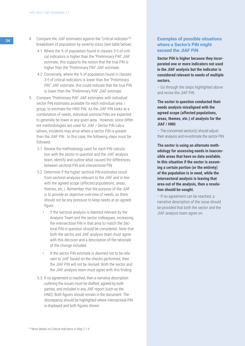- 34 4. Compare the JIAF estimates against the "critical indicator"<sup>36</sup> breakdown of population by severity class (see table below).
	- 4.1 Where the % of population found in classes 3-5 of critical indicators is higher than the "Preliminary PiN" JIAF estimate, this supports the notion that the true PiN is higher than the "Preliminary PiN" JIAF estimate.
	- 4.2 Conversely, where the % of population found in classes 3-5 of critical indicators is lower than the "Preliminary PiN" JIAF estimate, this could indicate that the true PiN is lower than the "Preliminary PiN" JIAF estimate.
	- 5. Compare "Preliminary PiN" JIAF estimates with individual sector PiN estimates available for each individual area / group, to estimate the HNO PiN. As the JIAF PiN looks at a combination of needs, individual sectoral PiNs are expected to generally be lower in any given area. However, since different methodologies are used for JIAF / Sector PiN calculations, incidents may arise where a sector PiN is greater than the JIAF PiN. In this case, the following steps must be followed:
		- 5.1 Review the methodology used for each PiN calculation with the sector in question and the JIAF analysis team; identify and outline what caused the differences between sectoral PiN and intersectoral PiN
		- 5.2 Determine if the higher sectoral PiN estimates result from sectoral analyses relevant to the JIAF and in line with the agreed scope (affected populations, areas, themes, etc.). Remember that the purpose of the JIAF is to provide an objective overview of needs, so there should not be any pressure to keep needs at an agreed figure.
			- If the sectoral analysis is deemed relevant by the Analysis Team and the sector colleagues, increasing the intersectoral PiN in that area to match the Sectoral PiN in question should be considered. Note that both the sector and JIAF analysis team must agree with this decision and a description of the rationale of the change included.
			- If the sector PiN estimate is deemed not to be relevant to JIAF based on the checks performed, then the JIAF PiN will not be revised. Both the sector and the JIAF analysis team must agree with this finding.
		- 5.3 If no agreement is reached, then a narrative description outlining the issues must be drafted, agreed by both parties, and included in any JIAF report (such as the HNO). Both figures should remain in the document. The discrepancy should be highlighted where intersectoral PiN is displayed and both figures shown.

# **Examples of possible situations where a Sector's PiN might exceed the JIAF PiN**

**Sector PiN is higher because they incorporated one or more indicators not used in the JIAF analysis but the indicator is considered relevant to needs of multiple sectors.**

– Go through the steps highlighted above and revise the JIAF PiN.

**The sector in question conducted their needs analysis misaligned with the agreed scope (affected populations, areas, themes, etc.) of analysis for the JIAF / HNO**.

– The concerned sector(s) should adjust their analysis and re-estimate the sector PiN

**The sector is using an alternate methodology for assessing needs in inaccessible areas that have no data available. In this situation if the sector is assuming a certain portion (or the entirety) of the population is in need, while the intersectoral analysis is leaving that area out of the analysis, then a resolution should be sought.**

– If no agreement can be reached, a narrative description of the issue should be provided that both the sector and the JIAF analysis team agree on.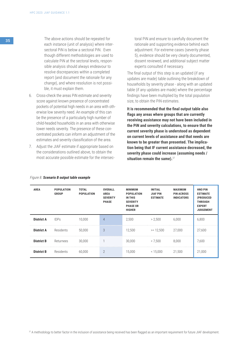<sup>35</sup> The above actions should be repeated for each instance (unit of analysis) where intersectoral PiN is below a sectoral PiN. Even though different methodologies are used to calculate PiN at the sectoral levels, responsible analysis should always endeavour to resolve discrepancies within a completed report (and document the rationale for any change), and where resolution is not possible, it must explain them.

- 6. Cross-check the areas PiN estimate and severity score against known presence of concentrated pockets of potential high needs in an area with otherwise low severity need. An example of this can be the presence of a particularly high number of child-headed households in an area with otherwise lower needs severity. The presence of these concentrated pockets can inform an adjustment of the estimates and severity classification of the area.
- 7. Adjust the JIAF estimate if appropriate based on the considerations outlined above, to obtain the most accurate possible estimate for the intersec-

toral PiN and ensure to carefully document the rationale and supporting evidence behind each adjustment. For extreme cases (severity phase 5), evidence should be very clearly documented, dissent reviewed, and additional subject matter experts consulted if necessary.

The final output of this step is an updated (if any updates are made) table outlining the breakdown of households by severity phase - along with an updated table (if any updates are made) where the percentage findings have been multiplied by the total population size, to obtain the PiN estimates.

**It is recommended that the final output table also flags any areas where groups that are currently receiving assistance may not have been included in the PiN and severity calculations, to ensure that the current severity phase is understood as dependent on current levels of assistance and that needs are known to be greater than presented. The implication being that IF current assistance decreased, the severity phase could increase (assuming needs / situation remain the same).**<sup>37</sup>

| <b>AREA</b>       | <b>POPULATION</b><br><b>GROUP</b> | <b>TOTAL</b><br><b>POPULATION</b> | <b>OVERALL</b><br><b>AREA</b><br><b>SEVERITY</b><br><b>PHASE</b> | <b>MINIMUM</b><br><b>POPULATION</b><br>IN THIS<br><b>SEVERITY</b><br><b>PHASE OR</b><br><b>HIGHER</b> | <b>INITIAL</b><br><b>JIAF PIN</b><br><b>ESTIMATE</b> | <b>MAXIMUM</b><br><b>PIN ACROSS</b><br><b>INDICATORS</b> | <b>HNO PIN</b><br><b>ESTIMATE</b><br>(PRODUCED<br><b>THROUGH</b><br><b>EXPERT</b><br><b>JUDGEMENT</b> |
|-------------------|-----------------------------------|-----------------------------------|------------------------------------------------------------------|-------------------------------------------------------------------------------------------------------|------------------------------------------------------|----------------------------------------------------------|-------------------------------------------------------------------------------------------------------|
| <b>District A</b> | <b>IDPs</b>                       | 10.000                            | $\overline{4}$                                                   | 2,500                                                                                                 | > 2.500                                              | 6.000                                                    | 6,800                                                                                                 |
| <b>District A</b> | Residents                         | 50.000                            | 3                                                                | 12.500                                                                                                | $>= 12.500$                                          | 27,000                                                   | 27.600                                                                                                |
| <b>District B</b> | Returnees                         | 30.000                            |                                                                  | 30.000                                                                                                | < 7.500                                              | 8.000                                                    | 7,600                                                                                                 |
| <b>District B</b> | Residents                         | 60.000                            | $\overline{2}$                                                   | 15.000                                                                                                | < 15.000                                             | 21.500                                                   | 21.000                                                                                                |

#### *Figure 8. Scenario B output table example*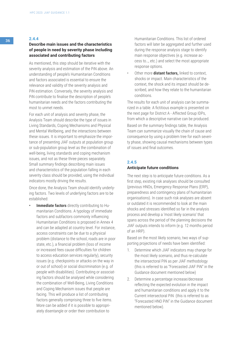# <sup>36</sup> **2.4.4**

# **Describe main issues and the characteristics of people in need by severity phase including associated and contributing factors**

As mentioned, this step should be iterative with the severity analysis and estimation of the PiN above. An understanding of people's Humanitarian Conditions and factors associated is essential to ensure the relevance and validity of the severity analysis and PiN estimation. Conversely, the severity analysis and PiN contribute to finalise the description of people's humanitarian needs and the factors contributing the most to unmet needs.

For each unit of analysis and severity phase, the Analysis Team should describe the type of issues in Living Standards, Coping Mechanisms and Physical and Mental Wellbeing, and the interactions between these issues. It is important to emphasize the importance of presenting JIAF outputs at population group or sub-population group level as the combination of well-being, living standards and coping mechanism issues, and not as these three pieces separately. Small summary findings describing main issues and characteristics of the population falling in each severity class should be provided, using the individual indicators mostly driving the results.

Once done, the Analysis Team should identify underlying factors. Two levels of underlying factors are to be established:

**Immediate factors** directly contributing to Humanitarian Conditions. A typology of immediate factors and subfactors commonly influencing Humanitarian Conditions is proposed in Annex 4 and can be adapted at country level. For instance, access constraints can be due to a physical problem (distance to the school, roads are in poor state, etc.), a financial problem (loss of income or increased fees cause difficulties for children to access education services regularly), security issues (e.g. checkpoints or attacks on the way in or out of school) or social discrimination (e.g. of people with disabilities). Contributing or associating factors should be analysed while considering the combination of Well-Being, Living Conditions and Coping Mechanism issues that people are facing. This will produce a list of contributing factors generally comprising three to five items. More can be added if it is possible to appropriately disentangle or order their contribution to

Humanitarian Conditions. This list of ordered factors will later be aggregated and further used during the response analysis stage to identify main response objectives (e.g. increase access to…, etc.) and select the most appropriate response options.

• Other more **distant factors,** linked to context, shocks or impact. Main characteristics of the context, the shock and its impact should be described, and how they relate to the humanitarian conditions.

The results for each unit of analysis can be summarized in a table. A fictitious example is presented on the next page for District A - Affected Group IDPs, from which a descriptive narrative can be produced.

Based on the summary findings table, the Analysis Team can summarize visually the chain of cause and consequence by using a problem tree for each severity phase, showing causal mechanisms between types of issues and final outcomes.

### **2.4.5**

#### **Anticipate future conditions**

The next step is to anticipate future conditions. As a first step, existing risk analyses should be consulted (previous HNOs, Emergency Response Plans (ERP), preparedness and contingency plans of humanitarian organisations). In case such risk analyses are absent or outdated it is recommended to look at the main shocks and stresses identified so far in the analysis process and develop a 'most likely scenario' that spans across the period of the planning decisions the JIAF outputs intends to inform (e.g. 12 months period of an HRP).

Based on the most likely scenario, two ways of supporting projections of needs have been identified:

- 1. Determine which JIAF indicators may change for the most likely scenario, and thus re-calculate the intersectoral PiN as per JIAF methodology (this is referred to as "Forecasted JIAF PiN" in the Guidance document mentioned below)
- 2. Determine a percentage increase/decrease reflecting the expected evolution in the impact and humanitarian conditions and apply it to the Current intersectoral PiN (this is referred to as "Forecasted HNO PiN" in the Guidance document mentioned below).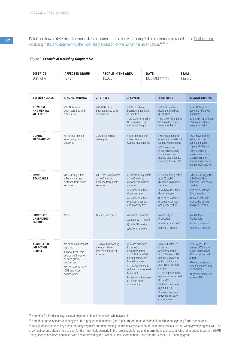Details on how to determine the most likely scenario and the corresponding PiN projections is provided in the Guidance on [Analyzing risks and determining the most likely evolution of the humanitarian situation](https://kmp.hpc.tools/km/2021-guidance-analyzing-risks-and-determining-most-likely-evolution-humanitarian-situation). 38 ,39 ,40

#### *Figure 9. Example of workshop Output table*

| <b>DISTRICT</b><br>District A                           | <b>AFFECTED GROUP</b><br><b>IDPs</b>                                                                                                                               | <b>PEOPLE IN THE AREA</b><br>10,000                                         |                                                                                                                                                                                                                                  | <b>DATE</b><br>DD / MM / YYYY |                                                                                                                                                                                                                                                                                                             | <b>TEAM</b><br>Team B |                                                                                                                                                                                               |
|---------------------------------------------------------|--------------------------------------------------------------------------------------------------------------------------------------------------------------------|-----------------------------------------------------------------------------|----------------------------------------------------------------------------------------------------------------------------------------------------------------------------------------------------------------------------------|-------------------------------|-------------------------------------------------------------------------------------------------------------------------------------------------------------------------------------------------------------------------------------------------------------------------------------------------------------|-----------------------|-----------------------------------------------------------------------------------------------------------------------------------------------------------------------------------------------|
| <b>SEVERITY CLASS</b>                                   | 1. NONE / MINIMAL                                                                                                                                                  | 2. STRESS                                                                   | 3. SEVERE                                                                                                                                                                                                                        |                               | <b>4. CRITICAL</b>                                                                                                                                                                                                                                                                                          |                       | <b>5. CATASTROPHIC</b>                                                                                                                                                                        |
| <b>PHYSICAL</b><br><b>AND MENTAL</b><br>WELLBEING       | >2% HHs have<br>been identified with<br>disabilities                                                                                                               | >4% HHs have<br>been identified with<br>disabilities                        | >15% HHs have<br>been identified with<br>disabilities<br>10% GAM for children<br>U5 based on their<br>weight for height                                                                                                          |                               | >25% HHs have<br>been identified with<br>disabilities<br>15% GAM for children<br>U5 based on their<br>weight for height                                                                                                                                                                                     |                       | >35% HHs have<br>been identified with<br>disabilities<br>30% GAM for children<br>U5 based on their<br>weight for height                                                                       |
| <b>COPING</b><br><b>MECHANISMS</b>                      | No stress, crisis or<br>emergency coping<br>observed                                                                                                               | 35% using stress<br>strategies                                              | >40% engaged into<br>crisis livelihood<br>Coping Mechanisms                                                                                                                                                                      |                               | >55% engaged into<br>emergency livelihood<br>Coping Mechanisms<br>>30% are using<br>irreversible Coping<br>Mechanisms to<br>access basic needs,<br>including XX and XX                                                                                                                                      |                       | >65% have totally<br>exhausted their<br>essential needs<br>coping strategies<br>>60% are using<br>irreversible Coping<br>Mechanisms to<br>access basic needs,<br>including XX and XX          |
| <b>LIVING</b><br><b>STANDARDS</b>                       | >85% living within<br>a 30min walking<br>distance from basic<br>services                                                                                           | >30% are living within<br>a 1H00 walking<br>distance from basic<br>services | >60% are living within<br>a 1H00 walking<br>distance from basic<br>services<br>35% have lost their<br>documentation<br>45% have lost their<br>productive assets<br>and property title                                            |                               | >50% are living within<br>a 2H00 walking<br>distance from basic<br>services<br>55% have lost their<br>documentation<br>85% have lost their<br>productive assets<br>and property title                                                                                                                       |                       | >70% are living within<br>a 2H00 walking<br>distance from basic<br>services<br>85% have lost their<br>documentation<br>All have lost their<br>productive assets<br>and property title         |
| <b>IMMEDIATE</b><br><b>UNDERLYING</b><br><b>FACTORS</b> | None                                                                                                                                                               | Quality / Diversity                                                         | Access / Financial<br>Availability / Transfer<br>Quality / Diversity<br>Access / Physical                                                                                                                                        |                               | Availability /<br>Production<br>Access / Financial<br>Access / Physical                                                                                                                                                                                                                                     |                       | Availability /<br>Production<br>Access / Physical<br>Access / Financial                                                                                                                       |
| <b>ASSOCIATED</b><br><b>IMPACT ON</b><br><b>PEOPLE</b>  | No or minimal impact<br>reported<br>All have kept their<br>sources of income<br>or have grown<br>businesses<br>No tensions between<br>IDPS and Host<br>communities | < 15% of HH working<br>members have<br>lost their source of<br>income       | 35% are displaced<br>in rented<br>accommodation<br>and 15% live in IDP<br>camps, 50% are in<br>hosted families<br>> 70% experience a<br>reduced income level<br>of 20-40%<br>No tensions between<br>IDPs and host<br>communities |                               | 5% are displaced<br>in rented<br>accommodation<br>and 35% live in IDP<br>camps, 30% are in<br>public building and<br>30% in self settled<br>camps<br>> 70% experience a<br>reduced income level<br>of 40-70%<br>High discrimination<br>against IDPs<br>Frequent tensions<br>between IDPs and<br>communities |                       | 15% live in IDP<br>camps, 50% are in<br>public building and<br>35% in self settled<br>camps<br>>70% experience a<br>reduced income level<br>of 70-100%<br>High discrimination<br>against IDPs |

38 Note that for food security, IPC/CH projection should be utilized when available

39 Note that some indicators already include a projection dimension (see e.g. nutrition) that could be helpful when anticipating future conditions.

<sup>40</sup> This guidance outlines key steps for analyzing risks and determining the most likely evolution of the humanitarian situation when developing an HNO. The analytical outputs should help to plan for the most likely scenario in the foreseeable future and inform the response analysis and targeting steps in the HRP. This guidance has been consulted with and approved by the Global Cluster Coordination Group and the Global HPC Planning group.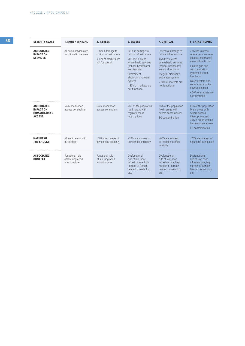| 38 |                                                                               | <b>SEVERITY CLASS</b>                                    | 1. NONE / MINIMAL                                     | 2. STRESS                                                                              | 3. SEVERE                                                                                                                                                                                                                       | <b>4. CRITICAL</b>                                                                                                                                                                                                               | <b>5. CATASTROPHIC</b>                                                                                                                                                                                                                                                 |
|----|-------------------------------------------------------------------------------|----------------------------------------------------------|-------------------------------------------------------|----------------------------------------------------------------------------------------|---------------------------------------------------------------------------------------------------------------------------------------------------------------------------------------------------------------------------------|----------------------------------------------------------------------------------------------------------------------------------------------------------------------------------------------------------------------------------|------------------------------------------------------------------------------------------------------------------------------------------------------------------------------------------------------------------------------------------------------------------------|
|    |                                                                               | <b>ASSOCIATED</b><br><b>IMPACT ON</b><br><b>SERVICES</b> | All basic services are<br>functional in the area      | Limited damage to<br>critical infrastructure<br>< 10% of markets are<br>not functional | Serious damage to<br>critical infrastructure<br>70% live in areas<br>where basic services<br>(school, healthcare)<br>are disrupted<br>Intermittent<br>electricity and water<br>system<br>< 30% of markets are<br>not functional | Extensive damage to<br>critical infrastructure<br>45% live in areas<br>where basic services<br>(school, healthcare)<br>are non-functional<br>Irregular electricity<br>and water system<br>< 50% of markets are<br>not functional | 75% live in areas<br>where basic services<br>(school, healthcare)<br>are non-functional<br>Electric grid and<br>communication<br>systems are non-<br>functional<br>Water system and<br>service have broken<br>down/collapsed<br>< 70% of markets are<br>not functional |
|    | <b>ASSOCIATED</b><br><b>IMPACT ON</b><br><b>HUMANITARIAN</b><br><b>ACCESS</b> | No humanitarian<br>access constraints                    | No humanitarian<br>access constraints                 | 25% of the population<br>live in areas with<br>regular access<br>interruptions         | 55% of the population<br>live in areas with<br>severe access issues<br>EO contamination                                                                                                                                         | 65% of the population<br>live in areas with<br>severe access<br>interruptions and<br>30% in areas with no<br>humanitarian access<br>EO contamination                                                                             |                                                                                                                                                                                                                                                                        |
|    |                                                                               | <b>NATURE OF</b><br><b>THE SHOCKS</b>                    | All are in areas with<br>no conflict                  | <10% are in areas of<br>low conflict intensity                                         | >70% are in areas of<br>low conflict intensity                                                                                                                                                                                  | >60% are in areas<br>of medium conflict<br>intensity                                                                                                                                                                             | >75% are in areas of<br>high conflict intensity                                                                                                                                                                                                                        |
|    |                                                                               | <b>ASSOCIATED</b><br><b>CONTEXT</b>                      | Functional rule<br>of law, upgraded<br>infrastructure | Functional rule<br>of law, upgraded<br>infrastructure                                  | Dysfunctional<br>rule of law, poor<br>infrastructure, high<br>number of female<br>headed households,<br>etc.                                                                                                                    | Dysfunctional<br>rule of law, poor<br>infrastructure, high<br>number of female<br>headed households,<br>etc.                                                                                                                     | Dysfunctional<br>rule of law, poor<br>infrastructure, high<br>number of female<br>headed households,<br>etc.                                                                                                                                                           |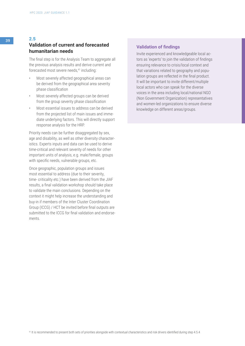# **Validation of current and forecasted humanitarian needs**

The final step is for the Analysis Team to aggregate all the previous analysis results and derive current and forecasted most severe needs,<sup>41</sup> including:

- Most severely affected geographical areas can be derived from the geographical area severity phase classification
- Most severely affected groups can be derived from the group severity phase classification
- Most essential issues to address can be derived from the projected list of main issues and immediate underlying factors. This will directly support response analysis for the HRP.

Priority needs can be further disaggregated by sex, age and disability, as well as other diversity characteristics. Experts inputs and data can be used to derive time-critical and relevant severity of needs for other important units of analysis, e.g. male/female, groups with specific needs, vulnerable groups, etc.

Once geographic, population groups and issues most essential to address (due to their severity, time- criticality etc.) have been derived from the JIAF results, a final validation workshop should take place to validate the main conclusions. Depending on the context it might help increase the understanding and buy-in if members of the Inter Cluster Coordination Group (ICCG) / HCT be invited before final outputs are submitted to the ICCG for final validation and endorsements.

# **Validation of findings**

Invite experienced and knowledgeable local actors as 'experts' to join the validation of findings ensuring relevance to crisis/local context and that variations related to geography and population groups are reflected in the final product. It will be important to invite different/multiple local actors who can speak for the diverse voices in the area including local/national NGO (Non Government Organization) representatives and women-led organizations to ensure diverse knowledge on different areas/groups.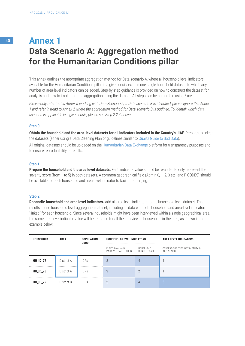# <sup>40</sup> **Annex 1 Data Scenario A: Aggregation method for the Humanitarian Conditions pillar**

This annex outlines the appropriate aggregation method for Data scenario A, where all household level indicators available for the Humanitarian Conditions pillar in a given crisis, exist in one single household dataset, to which any number of area-level indicators can be added. Step-by-step guidance is provided on how to construct the dataset for analysis and how to implement the aggregation using the dataset. All steps can be completed using Excel.

*Please only refer to this Annex if working with Data Scenario A; If Data scenario B is identified, please ignore this Annex 1 and refer instead to Annex 2 where the aggregation method for Data scenario B is outlined. To identify which data scenario is applicable in a given crisis, please see Step 2.2.4 above.*

#### **Step 0**

**Obtain the household and the area-level datasets for all indicators included in the Country's JIAF.** Prepare and clean the datasets (either using a Data Cleaning Plan or guidelines similar to [Quartz Guide to Bad Data\)](https://qz.com/572338/the-quartz-guide-to-bad-data/).

All original datasets should be uploaded on the [Humanitarian Data Exchange](https://data.humdata.org/) platform for transparency purposes and to ensure reproducibility of results.

#### **Step 1**

**Prepare the household and the area level datasets.** Each indicator value should be re-coded to only represent the severity score (from 1 to 5) in both datasets. A common geographical field (Admin 0, 1, 2, 3 etc. and P CODES) should be available for each household and area-level indicator to facilitate merging.

#### **Step 2**

**Reconcile household and area level indicators.** Add all area-level indicators to the household level dataset. This results in one household level aggregation dataset, including all data with both household and area-level indicators "linked" for each household. Since several households might have been interviewed within a single geographical area, the same area-level indicator value will be repeated for all the interviewed households in the area, as shown in the example below.

| <b>HOUSEHOLD</b> | <b>AREA</b> | <b>POPULATION</b><br><b>GROUP</b> | <b>HOUSEHOLD LEVEL INDICATORS</b>      |                           | <b>AREA LEVEL INDICATORS</b>                       |
|------------------|-------------|-----------------------------------|----------------------------------------|---------------------------|----------------------------------------------------|
|                  |             |                                   | FUNCTIONAL AND<br>IMPROVED SANTITATION | HOUSEHOLD<br>HUNGER SCALE | COVERAGE OF DTC3 (DPT3 / PENTA3)<br>IN <1 YEAR OLD |
| <b>HH_ID_77</b>  | District A  | <b>IDPs</b>                       | 3                                      | 4                         |                                                    |
| <b>HH_ID_78</b>  | District A  | <b>IDPs</b>                       | 3                                      | ∩                         | ٠                                                  |
| <b>HH_ID_79</b>  | District B  | <b>IDPs</b>                       | $\overline{2}$                         | 4                         | 5                                                  |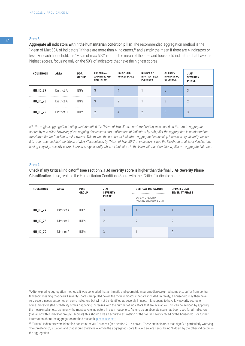**Aggregate all indicators within the humanitarian condition pillar.** The recommended aggregation method is the "Mean of Max 50% of indicators" if there are more than 4 indicators,<sup>42</sup> and simply the mean if there are 4 indicators or less. For each household, the "Mean of max 50%" returns the mean of the area and household indicators that have the highest scores, focusing only on the 50% of indicators that have the highest scores.

| <b>HOUSEHOLD</b> | <b>AREA</b> | POP.<br><b>GROUP</b> | <b>FUNCTIONAL</b><br><b>AND IMPROVED</b><br><b>SANITATION</b> | <b>HOUSEHOLD</b><br><b>HUNGER SCALE</b> | <b>NUMBER OF</b><br><b>INPATIENT BEDS</b><br><b>PER 10,000</b> | CHILDREN<br><b>DROPPING OUT</b><br>OF SCHOOL | <b>JIAF</b><br><b>SEVERITY</b><br><b>PHASE</b> |
|------------------|-------------|----------------------|---------------------------------------------------------------|-----------------------------------------|----------------------------------------------------------------|----------------------------------------------|------------------------------------------------|
| <b>HH_ID_77</b>  | District A  | <b>IDPs</b>          | 3                                                             | 4                                       |                                                                | $\mathfrak b$                                | 3                                              |
| <b>HH_ID_78</b>  | District A  | <b>IDPs</b>          | 3                                                             | $\mathcal{P}$                           |                                                                | 3                                            | $\overline{2}$                                 |
| <b>HH_ID_79</b>  | District B  | <b>IDPs</b>          |                                                               | 4                                       | $\mathcal{P}$                                                  | $\mathfrak b$                                | 3                                              |

*NB: the original aggregation testing, that identified the "Mean of Max 4" as a preferred option, was based on the aim to aggregate scores by sub-pillar. However, given ongoing discussions about allocation of indicators by sub-pillar the aggregation is conducted on the Humanitarian Conditions pillar overall. This means the number of indicators aggregated in one step increases significantly, hence it is recommended that the "Mean of Max 4" is replaced by "Mean of Max 50%" of indicators, since the likelihood of at least 4 indicators having very high severity scores increases significantly when all indicators in the Humanitarian Conditions pillar are aggregated at once.*

#### **Step 4**

**Check if any Critical indicator**<sup>43</sup> **(see section 2.1.6) severity score is higher than the final JIAF Severity Phase Classification.** If so, replace the Humanitarian Conditions Score with the "Critical" indicator score.

| <b>HOUSEHOLD</b> | <b>AREA</b> | POP.<br><b>GROUP</b> | <b>JIAF</b><br><b>SEVERITY</b> | <b>CRITICAL INDICATORS</b>                 | <b>UPDATED JIAF</b><br><b>SEVERITY PHASE</b> |  |  |
|------------------|-------------|----------------------|--------------------------------|--------------------------------------------|----------------------------------------------|--|--|
|                  |             |                      | <b>PHASE</b>                   | SAFE AND HEALTHY<br>HOUSING ENCLOSURE UNIT |                                              |  |  |
| <b>HH_ID_77</b>  | District A  | <b>IDPs</b>          | 3                              | 4                                          | 4                                            |  |  |
| <b>HH_ID_78</b>  | District A  | <b>IDPs</b>          | $\overline{\phantom{a}}$       | $\cap$                                     | C                                            |  |  |
| <b>HH_ID_79</b>  | District B  | <b>IDPs</b>          | 3                              |                                            | 3                                            |  |  |

<sup>42</sup>After exploring aggregation methods, it was concluded that arithmetic and geometric mean/median/weighted sums etc. suffer from central tendency, meaning that overall severity scores are "pulled down" the more indicators that are included. In reality, a household may then have very severe needs outcomes on some indicators but will not be identified as severely in need, if it happens to have low severity scores on some indicators (the probability of this happening increases with the number of indicators that are available). This can be avoided by applying the mean/median etc. using only the most severe indicators in each household. As long as an absolute scale has been used for all indicators (overall or within indicator group/sub-pillar), this should give an accurate estimation of the overall severity faced by the household. For further information about the aggregation method research, [please see here](https://www.dropbox.com/sh/o28t8o4my2rf62h/AAC_WGQSfe24PagaqBa9qljua?dl=0&preview=JIAG_Aggregation_Methods_final+review_v3.pptx).

43 "Critical" indicators were identified earlier in the JIAF process (see section 2.1.6 above). These are indicators that signify a particularly worrying, "life-threatening", situation and that should therefore override the aggregated score to avoid severe needs being "hidden" by the other indicators in the aggregation.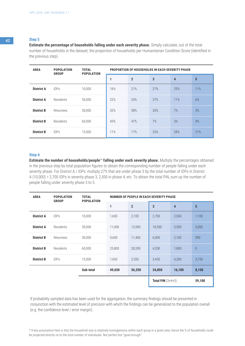**Estimate the percentage of households falling under each severity phase.** Simply calculate, out of the total number of households in the dataset, the proportion of households per Humanitarian Condition Score (identified in the previous step)

| <b>AREA</b>       | <b>POPULATION</b><br><b>GROUP</b> | <b>TOTAL</b><br><b>POPULATION</b> | <b>PROPORTION OF HOUSEHOLDS IN EACH SEVERITY PHASE</b> |              |     |     |                 |  |  |
|-------------------|-----------------------------------|-----------------------------------|--------------------------------------------------------|--------------|-----|-----|-----------------|--|--|
|                   |                                   |                                   |                                                        | $\mathbf{2}$ | 3   | 4   | $5\phantom{.0}$ |  |  |
| <b>District A</b> | <b>IDPs</b>                       | 10,000                            | 16%                                                    | 21%          | 27% | 25% | 11%             |  |  |
| <b>District A</b> | Residents                         | 50,000                            | 22%                                                    | 24%          | 37% | 11% | 6%              |  |  |
| <b>District B</b> | Returnees                         | 30,000                            | 32%                                                    | 38%          | 20% | 7%  | 3%              |  |  |
| <b>District B</b> | Residents                         | 60,000                            | 43%                                                    | 47%          | 7%  | 3%  | 0%              |  |  |
| <b>District B</b> | <b>IDPs</b>                       | 15,000                            | 11%                                                    | 17%          | 23% | 28% | 21%             |  |  |

### **Step 6**

**Estimate the number of households/people<sup>44</sup> falling under each severity phase.** Multiply the percentages obtained in the previous step by total population figures to obtain the corresponding number of people falling under each severity phase. For District A / IDPs: multiply 27% that are under phase 3 by the total number of IDPs in District A (10,000) = 2,700 IDPs in severity phase 3, 2,500 in phase 4, etc. To obtain the total PiN, sum up the number of people falling under severity phase 3 to 5.

| <b>AREA</b>       | <b>POPULATION</b><br><b>GROUP</b> | <b>TOTAL</b><br><b>POPULATION</b> | NUMBER OF PEOPLE IN EACH SEVERITY PHASE |                |                            |        |          |  |  |
|-------------------|-----------------------------------|-----------------------------------|-----------------------------------------|----------------|----------------------------|--------|----------|--|--|
|                   |                                   |                                   | 1                                       | $\overline{2}$ | 3                          | 4      | 5        |  |  |
| <b>District A</b> | <b>IDPs</b>                       | 10,000                            | 1,600                                   | 2,100          | 2,700                      | 2,500  | 1,100    |  |  |
| <b>District A</b> | Residents                         | 50,000                            | 11,000                                  | 12,000         | 18,500                     | 5,500  | 3,000    |  |  |
| <b>District B</b> | Returnees                         | 30,000                            | 9,600                                   | 11,400         | 6,000                      | 2,100  | 900      |  |  |
| <b>District B</b> | Residents                         | 60,000                            | 25,800                                  | 28,200         | 4,200                      | 1,800  | $\theta$ |  |  |
| <b>District B</b> | <b>IDPs</b>                       | 15,000                            | 1,650                                   | 2,550          | 3,450                      | 4,200  | 3,150    |  |  |
|                   |                                   | Sub-total                         | 49,650                                  | 56,250         | 34,850                     | 16,100 | 8,150    |  |  |
|                   |                                   |                                   |                                         |                | <b>Total PiN</b> $(3+4+5)$ |        | 59,100   |  |  |

If probability sampled data has been used for the aggregation, the summary findings should be presented in conjunction with the estimated level of precision with which the findings can be generalized to the population overall (e.g. the confidence level / error margin).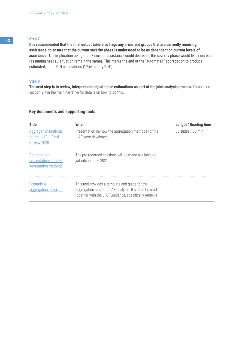**It is recommended that the final output table also flags any areas and groups that are currently receiving assistance, to ensure that the current severity phase is understood to be as dependent on current levels of assistance.** The implication being that IF current assistance would decrease, the severity phase would likely increase (assuming needs / situation remain the same). This marks the end of the "automated" aggregation to produce estimated, initial PiN calculations ("Preliminary PiN").

### **Step 8**

**The next step is to review, interpret and adjust these estimations as part of the joint analysis process.** Please see section 2.4 in the main narrative for details on how to do this.

# **Key documents and supporting tools**

| <b>Title</b><br><b>Aggregation Methods</b><br>for the JIAF $-$ Final<br>Review 2020 | What<br>Presentation on how the aggregation methods for the<br>JIAF were developed                                                                                | <b>Length / Reading time</b><br>$30$ slides / 60 min |
|-------------------------------------------------------------------------------------|-------------------------------------------------------------------------------------------------------------------------------------------------------------------|------------------------------------------------------|
| Pre-recorded<br>presentations on PiN<br>aggregation methods                         | The pre-recorded sessions will be made available on<br>jiaf.info in June 2021                                                                                     |                                                      |
| Scenario A<br>aggregation template                                                  | This tool provides a template and quide for the<br>aggregation stage of JIAF analysis. It should be read<br>together with the JIAF Guidance, specifically Annex 1 |                                                      |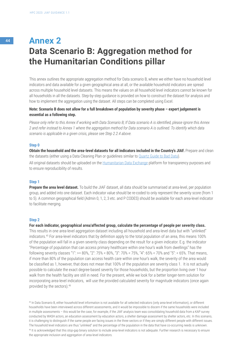# <sup>44</sup> **Annex 2 Data Scenario B: Aggregation method for the Humanitarian Conditions pillar**

This annex outlines the appropriate aggregation method for Data scenario B, where we either have no household level indicators and data available for a given geographical area at all, or the available household indicators are spread across multiple household level datasets. This means the values on all household level indicators cannot be known for all households in all the datasets. Step-by-step guidance is provided on how to construct the dataset for analysis and how to implement the aggregation using the dataset. All steps can be completed using Excel.

# **Note: Scenario B does not allow for a full breakdown of population by severity phase – expert judgement is essential as a following step.**

*Please only refer to this Annex if working with Data Scenario B; If Data scenario A is identified, please ignore this Annex 2 and refer instead to Annex 1 where the aggregation method for Data scenario A is outlined. To identify which data scenario is applicable in a given crisis, please see Step 2.2.4 above.*

#### **Step 0**

**Obtain the household and the area-level datasets for all indicators included in the Country's JIAF.** Prepare and clean the datasets (either using a Data Cleaning Plan or guidelines similar to [Quartz Guide to Bad Data\)](https://qz.com/572338/the-quartz-guide-to-bad-data/). All original datasets should be uploaded on the [Humanitarian Data Exchange](https://data.humdata.org/) platform for transparency purposes and to ensure reproducibility of results.

#### **Step 1**

**Prepare the area level dataset.** To build the JIAF dataset, all data should be summarised at area-level, per population group, and added into one dataset. Each indicator value should be re-coded to only represent the severity score (from 1 to 5). A common geographical field (Admin 0, 1, 2, 3 etc. and P CODES) should be available for each area-level indicator to facilitate merging.

#### **Step 2**

**For each indicator, geographical area/affected group, calculate the percentage of people per severity class.**  This results in one area-level aggregation dataset including all household and area-level data but with "unlinked" indicators.45 For area-level indicators that by definition apply to the total population of an area, this means 100% of the population will fall in a given severity class depending on the result for a given indicator. E.g. the indicator "Percentage of population that can access primary healthcare within one hour's walk from dwellings" has the following severity classes "1": >= 80%, "2": 75% < 80%, "3": 70% < 75%, "4": 65% < 70% and "5": < 65%. That means, if more than 80% of the population can access health care within one hour's walk, the severity of the area would be classified as 1, however, that does not mean that 100% of the population are severity class 1. It is not actually possible to calculate the exact degree-based severity for those households, but the proportion living over 1 hour walk from the health facility are still in need. For the present, while we look for a better longer-term solution for incorporating area-level indicators, will use the provided calculated severity for magnitude indicators (once again provided by the sectors).46

45 In Data Scenario B, either household level information is not available for all selected indicators (only area-level information), or different households have been interviewed across different assessments, and it would be impossible to discern if the same households were included in multiple assessments – this would be the case, for example, if the JIAF analysis team was consolidating household data from a KAP survey conducted by WASH actors, an education assessment by education actors, a shelter damage assessment by shelter actors, etc. In this scenario, it is challenging to distinguish if the same people are facing issues in the three sectors or if they are simply different people with different issues. The household level indicators are thus "unlinked" and the percentage of the population in the data that have co-occurring needs is unknown. 46 It is acknowledged that this stop-gap binary solution to include area-level indicators is not adequate. Further research is necessary to ensure the appropriate inclusion and aggregation of area-level indicators.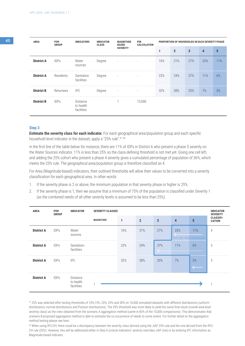| <b>AREA</b>       | POP.<br><b>GROUP</b> | <b>INDICATORS</b>                          | <b>INDICATOR</b><br><b>CLASS</b> | <b>MAGNITUDE</b><br><b>BASED</b> | <b>PIN</b><br>CALCULATION |     | <b>PROPORTION OF HOUSEHOLDS IN EACH SEVERITY PHASE</b> |     |     |     |  |
|-------------------|----------------------|--------------------------------------------|----------------------------------|----------------------------------|---------------------------|-----|--------------------------------------------------------|-----|-----|-----|--|
|                   |                      |                                            |                                  | <b>SEVERITY</b>                  |                           | 1   | $\overline{2}$                                         | 3   | 4   | 5   |  |
| <b>District A</b> | <b>IDPs</b>          | Water<br>sources                           | Degree                           | $\overline{\phantom{a}}$         | $\overline{\phantom{a}}$  | 16% | 21%                                                    | 27% | 25% | 11% |  |
| <b>District A</b> | Residents            | Sanitation<br>facilities                   | Degree                           | $\overline{\phantom{a}}$         |                           | 22% | 24%                                                    | 37% | 11% | 6%  |  |
| <b>District B</b> | Returnees            | <b>IPC</b>                                 | Degree                           | $\overline{\phantom{a}}$         | $\overline{\phantom{a}}$  | 32% | 38%                                                    | 20% | 7%  | 3%  |  |
| <b>District B</b> | <b>IDPs</b>          | <b>Distance</b><br>to health<br>facilities |                                  |                                  | 15,000                    |     |                                                        |     |     |     |  |

**Estimate the severity class for each indicator.** For each geographical area/population group and each specific household level indicator in the dataset, apply a "25% rule". 47, 48

In the first line of the table below for instance, there are 11% of IDPs in District A who present a phase 5 severity on the Water Sources indicator. 11% is less than 25% so the class-defining threshold is not met yet. Going one cell left, and adding the 25% cohort who present a phase 4 severity gives a cumulated percentage of population of 36%, which meets the 25% rule. The geographical area/population group is therefore classified as 4.

For Area (Magnitude-based) indicators, their outlined thresholds will allow their values to be converted into a severity classification for each geographical area. In other words:

- 1. If the severity phase is 2 or above, the minimum population in that severity phase or higher is 25%.
- 2. If the severity phase is 1, then we assume that a minimum of 75% of the population is classified under Severity 1 (as the combined needs of all other severity levels is assumed to be less than 25%).

| <b>AREA</b>       | POP.<br><b>GROUP</b> | <b>INDICATOR</b>                    | <b>SEVERITY CLASSES</b> |     |                |                                         |                |                                            | <b>INDICATOR</b><br><b>SEVERITY</b> |
|-------------------|----------------------|-------------------------------------|-------------------------|-----|----------------|-----------------------------------------|----------------|--------------------------------------------|-------------------------------------|
|                   |                      |                                     | <b>MAGNITUDE</b>        | 1   | $\overline{2}$ | 3                                       | $\overline{4}$ | 5                                          | <b>CLASSIFI-</b><br><b>CATION</b>   |
| <b>District A</b> | <b>IDPs</b>          | Water<br>sources                    |                         | 16% | 21%            | 27%                                     | 25%            | 11%<br>21% + 24% = 45%, ie > 25% threshold | 4                                   |
| <b>District A</b> | <b>IDPs</b>          | Sanitation<br>facilities            |                         | 22% | 24%            | 37%<br>$\mathcal{F}^{\mathcal{A}}$<br>↽ | 11%            | 6%                                         | 3                                   |
| <b>District A</b> | <b>IDPs</b>          | <b>IPC</b>                          |                         | 32% | 38%            | 20%                                     | 7%             | 3%<br>$\leftarrow$                         | 3                                   |
| <b>District A</b> | <b>IDPs</b>          | Distance<br>to health<br>facilities |                         |     |                |                                         |                |                                            | $\mathbf{1}$                        |

47 25% was selected after testing thresholds of 10%,15%, 20%, 25% and 30% on 10,000 simulated datasets with different distributions (uniform distributions, normal distributions and Poisson distributions). The 25% threshold was most likely to yield the same final result (overall area-level severity class) as the ones obtained from the scenario A aggregation method (same in 83% of the 10,000 comparisons). This demonstrates that scenario B proposed aggregation method is able to estimate the co-occurrence of needs to some extent. For further detail on the aggregation method testing please see here.

<sup>48</sup> When using IPC/CH, there could be a discrepancy between the severity class derived using the JIAF 25% rule and the one derived from the IPC/ CH rule (20%). However, this will be addressed either in Step 4 (critical indicators' severity overrides JIAF one) or by entering IPC information as Magnitude-based indicator.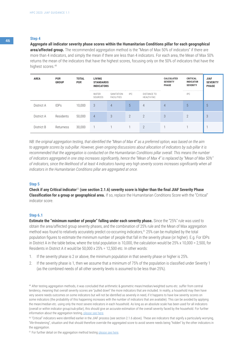#### **Aggregate all indicator severity phase scores within the Humanitarian Conditions pillar for each geographical**

**area/affected group.** The recommended aggregation method is the "Mean of Max 50% of indicators" if there are more than 4 indicators, and simply the mean if there are less than 4 indicators. For each area, the Mean of Max 50% returns the mean of the indicators that have the highest scores, focusing only on the 50% of indicators that have the highest scores.<sup>49</sup>

| <b>AREA</b> | POP.<br><b>GROUP</b> | <b>TOTAL</b><br>POP. | <b>LIVING</b><br><b>STANDARDS</b><br><b>INDICATORS</b> |                                 |                |                            | CALCULATED<br><b>SEVERITY</b><br><b>PHASE</b> | CRITICAL<br><b>INDICATOR</b><br><b>SEVERITY</b> | <b>JIAF</b><br><b>SEVERITY</b><br><b>PHASE</b> |
|-------------|----------------------|----------------------|--------------------------------------------------------|---------------------------------|----------------|----------------------------|-----------------------------------------------|-------------------------------------------------|------------------------------------------------|
|             |                      |                      | WATER<br>SOURCES                                       | SANITATION<br><b>FACILITIES</b> | IPC.           | DISTANCE TO<br>HEALTH FAC. |                                               | <b>IPC</b>                                      |                                                |
| District A  | <b>IDPs</b>          | 10,000               | 3                                                      | $\overline{4}$                  | $\sqrt{5}$     | 4                          | 4                                             | $\mathfrak b$                                   | 5                                              |
| District A  | Residents            | 50,000               | 4                                                      | 3                               | $\mathfrak{D}$ | $\overline{2}$             | 3                                             | $\Omega$                                        | 3                                              |
| District B  | Returness            | 30,000               | $\mathbf{1}$                                           |                                 |                | $\overline{2}$             |                                               |                                                 |                                                |

*NB: the original aggregation testing, that identified the "Mean of Max 4" as a preferred option, was based on the aim to aggregate scores by sub-pillar. However, given ongoing discussions about allocation of indicators by sub-pillar it is recommended that the aggregation is conducted on the Humanitarian Conditions pillar overall. This means the number of indicators aggregated in one step increases significantly, hence the "Mean of Max 4" is replaced by "Mean of Max 50%" of indicators, since the likelihood of at least 4 indicators having very high severity scores increases significantly when all indicators in the Humanitarian Conditions pillar are aggregated at once.*

#### **Step 5**

**Check if any Critical indicator**<sup>50</sup> **(see section 2.1.6) severity score is higher than the final JIAF Severity Phase Classification for a group or geographical area.** If so, replace the Humanitarian Conditions Score with the "Critical" indicator score.

#### **Step 6.1**

**Estimate the "minimum number of people" falling under each severity phase.** Since the "25%" rule was used to obtain the area/affected group severity phases, and the combination of 25% rule and the Mean of Max aggregation method was found to relatively accurately predict co-occurring indicators,51 25% can be multiplied by the total population figures to estimate the minimum number of people that fall in the severity phase (or higher). E.g. For IDPs in District A in the table below, where the total population is 10,000, the calculation would be 25% x 10,000 = 2,500, for Residents in District A it would be 50,000 x 25% = 12,500 etc. In other words:

- 1. If the severity phase is 2 or above, the minimum population in that severity phase or higher is 25%.
- 2. If the severity phase is 1, then we assume that a minimum of 75% of the population is classified under Severity 1 (as the combined needs of all other severity levels is assumed to be less than 25%).

<sup>51</sup> For further detail on the aggregation method testing [please see here.](https://www.dropbox.com/sh/o28t8o4my2rf62h/AAC_WGQSfe24PagaqBa9qljua?dl=0)

<sup>&</sup>lt;sup>49</sup> After testing aggregation methods, it was concluded that arithmetic & geometric mean/median/weighted sums etc. suffer from central tendency, meaning that overall severity scores are "pulled down" the more indicators that are included. In reality, a household may then have very severe needs outcomes on some indicators but will not be identified as severely in need, if it happens to have low severity scores on some indicators (the probability of this happening increases with the number of indicators that are available). This can be avoided by applying the mean/median etc. using only the most severe indicators in each household. As long as an absolute scale has been used for all indicators (overall or within indicator group/sub-pillar), this should give an accurate estimation of the overall severity faced by the household. For further information about the aggregation testing, [please see here](https://www.dropbox.com/sh/o28t8o4my2rf62h/AAC_WGQSfe24PagaqBa9qljua?dl=0&preview=JIAG_Aggregation_Methods_final+review_v3.pptx).

<sup>50</sup>"Critical" indicators were identified earlier in the JIAF process (see section 2.1.6 above). These are indicators that signify a particularly worrying, "life-threatening", situation and that should therefore override the aggregated score to avoid severe needs being "hidden" by the other indicators in the aggregation.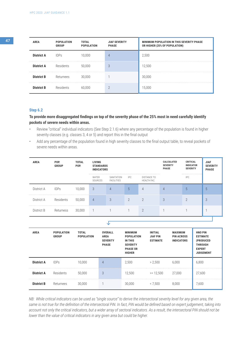| <b>AREA</b>       | <b>POPULATION</b><br><b>GROUP</b> | TOTAL<br><b>POPULATION</b> | <b>JIAF SEVERITY</b><br><b>PHASE</b> | <b>MINIMUM POPULATION IN THIS SEVERITY PHASE</b><br>OR HIGHER (25% OF POPULATION) |
|-------------------|-----------------------------------|----------------------------|--------------------------------------|-----------------------------------------------------------------------------------|
| <b>District A</b> | <b>IDPs</b>                       | 10,000                     | 4                                    | 2,500                                                                             |
| <b>District A</b> | Residents                         | 50.000                     | 3                                    | 12,500                                                                            |
| <b>District B</b> | Returnees                         | 30.000                     |                                      | 30,000                                                                            |
| <b>District B</b> | Residents                         | 60.000                     | റ                                    | 15,000                                                                            |

### **Step 6.2**

# **To provide more disaggregated findings on top of the severity phase of the 25% most in need carefully identify pockets of severe needs within areas.**

- Review "critical" individual indicators (See Step 2.1.6) where any percentage of the population is found in higher severity classes (e.g. classes 3, 4 or 5) and report this in the final output
- Add any percentage of the population found in high severity classes to the final output table, to reveal pockets of severe needs within areas.

| <b>AREA</b> | POP.<br><b>GROUP</b> | <b>TOTAL</b><br>POP. | LIVING<br><b>STANDARDS</b><br><b>INDICATORS</b> |                                 |                |                                   | <b>CALCULATED</b><br><b>SEVERITY</b><br><b>PHASE</b> | <b>CRITICAL</b><br><b>INDICATOR</b><br><b>SEVERITY</b> | <b>JIAF</b><br><b>SEVERITY</b><br><b>PHASE</b> |
|-------------|----------------------|----------------------|-------------------------------------------------|---------------------------------|----------------|-----------------------------------|------------------------------------------------------|--------------------------------------------------------|------------------------------------------------|
|             |                      |                      | *******************<br>WATER<br>SOURCES         | SANITATION<br><b>FACILITIES</b> | IPC.           | <b>DISTANCE TO</b><br>HEALTH FAC. |                                                      | <b>IPC</b>                                             |                                                |
| District A  | <b>IDPs</b>          | 10,000               | 3                                               | $\overline{4}$                  | 5              | 4                                 | 4                                                    | 5                                                      | 5                                              |
| District A  | Residents            | 50,000               | $\overline{4}$                                  | 3                               | $\mathfrak{D}$ | $\overline{2}$                    | 3                                                    | $\mathcal{P}$                                          | 3                                              |
| District B  | Returness            | 30,000               | $-1$                                            |                                 |                | $\overline{2}$                    |                                                      |                                                        |                                                |

 $\sqrt{2}$ 

| <b>AREA</b>       | <b>POPULATION</b><br><b>GROUP</b> | <b>TOTAL</b><br><b>POPULATION</b> | <b>OVERALL</b><br><b>AREA</b><br><b>SEVERITY</b><br><b>PHASE</b> | <b>MINIMUM</b><br><b>POPULATION</b><br><b>IN THIS</b><br><b>SEVERITY</b><br><b>PHASE OR</b><br><b>HIGHER</b> | <b>INITIAL</b><br><b>JIAF PIN</b><br><b>ESTIMATE</b> | <b>MAXIMUM</b><br><b>PIN ACROSS</b><br><b>INDICATORS</b> | <b>HNO PIN</b><br><b>ESTIMATE</b><br>(PRODUCED<br><b>THROUGH</b><br><b>EXPERT</b><br><b>JUDGEMENT</b> |
|-------------------|-----------------------------------|-----------------------------------|------------------------------------------------------------------|--------------------------------------------------------------------------------------------------------------|------------------------------------------------------|----------------------------------------------------------|-------------------------------------------------------------------------------------------------------|
| <b>District A</b> | <b>IDPs</b>                       | 10.000                            | $\overline{4}$                                                   | 2.500                                                                                                        | > 2.500                                              | 6.000                                                    | 6,800                                                                                                 |
| <b>District A</b> | Residents                         | 50.000                            | 3                                                                | 12.500                                                                                                       | $>= 12.500$                                          | 27,000                                                   | 27,600                                                                                                |
| <b>District B</b> | Returnees                         | 30.000                            |                                                                  | 30.000                                                                                                       | < 7.500                                              | 8.000                                                    | 7,600                                                                                                 |

*NB: While critical indicators can be used as "single source" to derive the intersectoral severity level for any given area, the same is not true for the definition of the intersectoral PiN. In fact, PiN would be defined based on expert judgement, taking into account not only the critical indicators, but a wider array of sectoral indicators. As a result, the intersectoral PiN should not be lower than the value of critical indicators in any given area but could be higher.*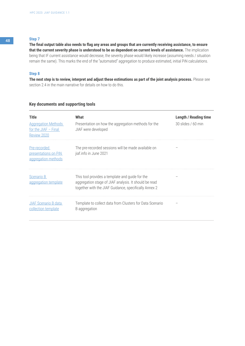**The final output table also needs to flag any areas and groups that are currently receiving assistance, to ensure that the current severity phase is understood to be as dependent on current levels of assistance.** The implication being that IF current assistance would decrease, the severity phase would likely increase (assuming needs / situation remain the same). This marks the end of the "automated" aggregation to produce estimated, initial PiN calculations.

### **Step 8**

**The next step is to review, interpret and adjust these estimations as part of the joint analysis process.** Please see section 2.4 in the main narrative for details on how to do this.

# **Key documents and supporting tools**

| <b>Title</b><br><b>Aggregation Methods</b><br>for the JIAF $-$ Final<br>Review 2020 | What<br>Presentation on how the aggregation methods for the<br>JIAF were developed                                                                                | <b>Length / Reading time</b><br>30 slides / 60 min |
|-------------------------------------------------------------------------------------|-------------------------------------------------------------------------------------------------------------------------------------------------------------------|----------------------------------------------------|
| Pre-recorded<br>presentations on PiN<br>aggregation methods                         | The pre-recorded sessions will be made available on<br>jiaf.info in June 2021                                                                                     |                                                    |
| Scenario B<br>aggregation template                                                  | This tool provides a template and guide for the<br>aggregation stage of JIAF analysis. It should be read<br>together with the JIAF Guidance, specifically Annex 2 |                                                    |
| <b>JIAF Scenario B data</b><br>collection template                                  | Template to collect data from Clusters for Data Scenario<br>B aggregation                                                                                         |                                                    |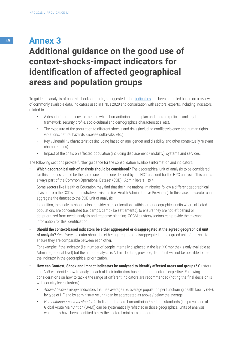# <sup>49</sup> **Annex 3 Additional guidance on the good use of context-shocks-impact indicators for identification of affected geographical areas and population groups**

To guide the analysis of context-shocks-impacts, a suggested set of [indicators](https://drive.google.com/file/d/1nXpEx7EzuS2ZeoJ-W4PeU8U_opuEFF4k/view) has been compiled based on a review of commonly available data, indicators used in HNOs 2020 and consultation with sectoral experts, including indicators related to:

- A description of the environment in which humanitarian actors plan and operate (policies and legal framework, security profile, socio-cultural and demographics characteristics, etc).
- The exposure of the population to different shocks and risks (including conflict/violence and human rights violations, natural hazards, disease outbreaks, etc.)
- Key vulnerability characteristics (including based on age, gender and disability and other contextually relevant characteristics)
- Impact of the crisis on affected population (including displacement / mobility), systems and services.

The following sections provide further guidance for the consolidation available information and indicators.

**• Which geographical unit of analysis should be considered?** The geographical unit of analysis to be considered for this process should be the same one as the one decided by the HCT as a unit for the HPC analysis. This unit is always part of the Common Operational Dataset (COD) - Admin levels 1 to 4.

Some sectors like Health or Education may find that their line national ministries follow a different geographical division from the COD's administrative divisions (i.e. Health Administrative Provinces). In this case, the sector can aggregate the dataset to the COD unit of analysis.

In addition, the analysis should also consider sites or locations within larger geographical units where affected populations are concentrated (i.e. camps, camp-like settlements), to ensure they are not left behind or de- prioritized from needs analysis and response planning. CCCM clusters/sectors can provide the relevant information for this identification.

**• Should the context-based indicators be either aggregated or disaggregated at the agreed geographical unit of analysis?** Yes. Every indicator should be either aggregated or disaggregated at the agreed unit of analysis to ensure they are comparable between each other.

For example: If the indicator (i.e. number of people internally displaced in the last XX months) is only available at Admin 0 (national level) but the unit of analysis is Admin 1 (state, province, district); it will not be possible to use the indicator in the geographical prioritization.

- **• How can Context, Shock and Impact indicators be analysed to identify affected areas and groups?** Clusters and AoR will decide how to analyse each of their indicators based on their sectoral expertise. Following considerations on how to tackle the range of different indicators are recommended (noting the final decision is with country level clusters)
	- *• Above / below average:* Indicators that use average (i.e. average population per functioning health facility (HF), by type of HF and by administrative unit) can be aggregated as above / below the average.
	- *• Humanitarian / sectoral standards:* Indicators that are humanitarian / sectoral standards (i.e. prevalence of Global Acute Malnutrition (GAM)) can be systematically reflected in those geographical units of analysis where they have been identified below the sectoral minimum standard.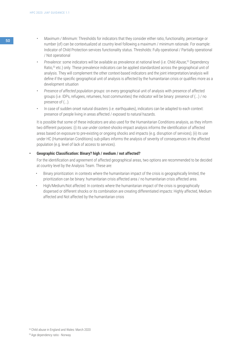- <sup>50</sup> *• Maximum / Minimum:* Thresholds for indicators that they consider either ratio, functionality, percentage or number (of) can be contextualized at country level following a maximum / minimum rationale. For example: Indicator of Child Protection services functionality status. Thresholds: Fully operational / Partially operational / Not operational
	- *Prevalence:* some indicators will be available as prevalence at national level (i.e. Child Abuse,<sup>52</sup> Dependency Ratio,53 etc.) only. These prevalence indicators can be applied standardized across the geographical unit of analysis. They will complement the other context-based indicators and the joint interpretation/analysis will define if the specific geographical unit of analysis is affected by the humanitarian crisis or qualifies more as a development situation
	- *• Presence of affected population groups:* on every geographical unit of analysis with presence of affected groups (i.e. IDPs, refugees, returnees, host communities) the indicator will be binary: presence of (...) / no presence of (...).
	- In case of sudden onset natural disasters (i.e. earthquakes), indicators can be adapted to each context: presence of people living in areas affected / exposed to natural hazards.

It is possible that some of these indicators are also used for the Humanitarian Conditions analysis, as they inform two different purposes: (i) its use under context-shocks-impact analysis informs the identification of affected areas based on exposure to pre-existing or ongoing shocks and impacts (e.g. disruption of services); (ii) its use under HC (Humanitarian Conditions) sub-pillars informs the analysis of severity of consequences in the affected population (e.g. level of lack of access to services).

### **• Geographic Classification: Binary? high / medium / not affected?**

For the identification and agreement of affected geographical areas, two options are recommended to be decided at country level by the Analysis Team. These are:

- Binary prioritization: in contexts where the humanitarian impact of the crisis is geographically limited, the prioritization can be binary: humanitarian crisis affected area / no humanitarian crisis affected area.
- High/Medium/Not affected: In contexts where the humanitarian impact of the crisis is geographically dispersed or different shocks or its combination are creating differentiated impacts: Highly affected, Medium affected and Not affected by the humanitarian crisis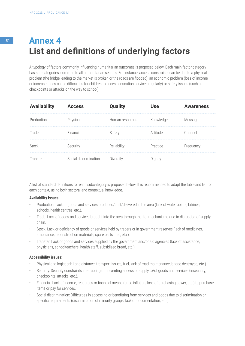# <sup>51</sup> **Annex 4 List and definitions of underlying factors**

A typology of factors commonly influencing humanitarian outcomes is proposed below. Each main factor category has sub-categories, common to all humanitarian sectors. For instance, access constraints can be due to a physical problem (the bridge leading to the market is broken or the roads are flooded), an economic problem (loss of income or increased fees cause difficulties for children to access education services regularly) or safety issues (such as checkpoints or attacks on the way to school).

| <b>Availability</b> | <b>Access</b>         | <b>Quality</b>  | Use       | <b>Awareness</b> |
|---------------------|-----------------------|-----------------|-----------|------------------|
| Production          | Physical              | Human resources | Knowledge | Message          |
| Trade               | Financial             | Safety          | Attitude  | Channel          |
| Stock               | Security              | Reliability     | Practice  | Frequency        |
| Transfer            | Social discrimination | Diversity       | Dignity   |                  |

A list of standard definitions for each subcategory is proposed below. It is recommended to adapt the table and list for each context, using both sectoral and contextual knowledge.

### **Availability issues:**

- Production: Lack of goods and services produced/built/delivered in the area (lack of water points, latrines, schools, health centres, etc.).
- Trade: Lack of goods and services brought into the area through market mechanisms due to disruption of supply chain.
- Stock: Lack or deficiency of goods or services held by traders or in government reserves (lack of medicines, ambulance, reconstruction materials, spare parts, fuel, etc.).
- Transfer: Lack of goods and services supplied by the government and/or aid agencies (lack of assistance, physicians, schoolteachers, health staff, subsidised bread, etc.).

#### **Accessibility issues:**

- Physical and logistical: Long distance, transport issues, fuel, lack of road maintenance, bridge destroyed, etc.).
- Security: Security constraints interrupting or preventing access or supply to/of goods and services (insecurity, checkpoints, attacks, etc.).
- Financial: Lack of income, resources or financial means (price inflation, loss of purchasing power, etc.) to purchase items or pay for services.
- Social discrimination: Difficulties in accessing or benefitting from services and goods due to discrimination or specific requirements (discrimination of minority groups, lack of documentation, etc.)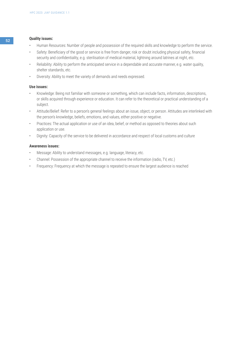# <sup>52</sup> **Quality issues:**

- Human Resources: Number of people and possession of the required skills and knowledge to perform the service.
- Safety: Beneficiary of the good or service is free from danger, risk or doubt including physical safety, financial security and confidentiality, e.g. sterilisation of medical material, lightning around latrines at night, etc.
- Reliability: Ability to perform the anticipated service in a dependable and accurate manner, e.g. water quality, shelter standards, etc.
- Diversity: Ability to meet the variety of demands and needs expressed.

#### **Use issues:**

- Knowledge: Being not familiar with someone or something, which can include facts, information, descriptions, or skills acquired through experience or education. It can refer to the theoretical or practical understanding of a subject.
- Attitude/Belief: Refer to a person's general feelings about an issue, object, or person. Attitudes are interlinked with the person's knowledge, beliefs, emotions, and values, either positive or negative.
- Practices: The actual application or use of an idea, belief, or method as opposed to theories about such application or use.
- Dignity: Capacity of the service to be delivered in accordance and respect of local customs and culture

#### **Awareness issues:**

- Message: Ability to understand messages, e.g. language, literacy, etc.
- Channel: Possession of the appropriate channel to receive the information (radio, TV, etc.)
- Frequency: Frequency at which the message is repeated to ensure the largest audience is reached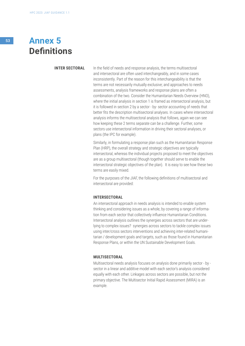# <sup>53</sup> **Annex 5 Definitions**

#### **INTER SECTORAL**

In the field of needs and response analysis, the terms multisectoral and intersectoral are often used interchangeably, and in some cases inconsistently. Part of the reason for this interchangeability is that the terms are not necessarily mutually exclusive; and approaches to needs assessments, analysis frameworks and response plans are often a combination of the two. Consider the Humanitarian Needs Overview (HNO), where the initial analysis in section 1 is framed as intersectoral analysis, but it is followed in section 2 by a sector - by- sector accounting of needs that better fits the description multisectoral analyses. In cases where intersectoral analysis informs the multisectoral analysis that follows, again we can see how keeping these 2 terms separate can be a challenge. Further, some sectors use intersectoral information in driving their sectoral analyses, or plans (the IPC for example).

Similarly, in formulating a response plan such as the Humanitarian Response Plan (HRP), the overall strategy and strategic objectives are typically intersectoral, whereas the individual projects proposed to meet the objectives are as a group multisectoral (though together should serve to enable the intersectoral strategic objectives of the plan). It is easy to see how these two terms are easily mixed.

For the purposes of the JIAF, the following definitions of multisectoral and intersectoral are provided:

#### **INTERSECTORAL**

An intersectoral approach in needs analysis is intended to enable system thinking and considering issues as a whole, by covering a range of information from each sector that collectively influence Humanitarian Conditions. Intersectoral analysis outlines the synergies across sectors that are underlying to complex issues? synergies across sectors to tackle complex issues using inter/cross sectors interventions and achieving inter-related humanitarian / development goals and targets, such as those found in Humanitarian Response Plans, or within the UN Sustainable Development Goals.

#### **MULTISECTORAL**

Multisectoral needs analysis focuses on analysis done primarily sector - by sector in a linear and additive model with each sector's analysis considered equally with each other. Linkages across sectors are possible, but not the primary objective. The Multisector Initial Rapid Assessment (MIRA) is an example.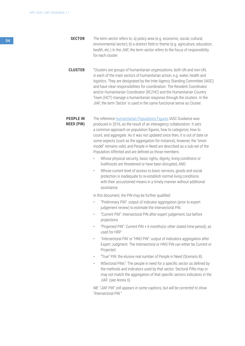<sup>54</sup> **SECTOR** The term sector refers to: a) policy area (e.g. economic, social, cultural, environmental sector); b) a distinct field or theme (e.g. agriculture, education, health, etc.) In the JIAF, the term sector refers to the focus of responsibility for each cluster.

> **CLUSTER** "Clusters are groups of humanitarian organizations, both UN and non-UN, in each of the main sectors of humanitarian action, e.g. water, health and logistics. They are designated by the Inter-Agency Standing Committee (IASC) and have clear responsibilities for coordination. The Resident Coordinator and/or Humanitarian Coordinator (RC/HC) and the Humanitarian Country Team (HCT) manage a humanitarian response through the clusters. In the JIAF, the term 'Sector' is used in the same functional sense as Cluster.

#### **PEOPLE IN NEED (PiN)**

The reference [Humanitarian Populations Figures](http://c//Users/SALAZAR/Desktop/04.1_humanitarianprofile_guidance2016.pdf) IASC Guidance was produced in 2016, as the result of an interagency collaboration. It sets a common approach on population figures, how to categorize, how to count, and aggregate. As it was not updated since then, it is out of date on some aspects (such as the aggregation for instance), however, the "onion model" remains valid, and People in Need are described as a sub-set of the Population Affected and are defined as those members:

- Whose physical security, basic rights, dignity, living conditions or livelihoods are threatened or have been disrupted, AND
- Whose current level of access to basic services, goods and social protection is inadequate to re-establish normal living conditions with their accustomed means in a timely manner without additional assistance.

In this document, the PiN may be further qualified:

- "Preliminary PiN": output of indicator aggregation (prior to expert judgement review) to estimate the Intersectoral PiN.
- "Current PiN": Intersectoral PiN after expert judgement, but before projections
- "Projected PiN": Current PiN + 6 months(or other stated time-period), as used for HRP
- "Intersectoral PiN' or "HNO PiN": output of indicators aggregation after Expert Judgment. The Intersectoral or HNO PiN can either be Current or Projected.
- "True" PiN: the elusive real number of People in Need (Scenario B).
- WSectoral PiNs": The people in need for a specific sector as defined by the methods and indicators used by that sector. Sectoral PiNs may or may not match the aggregation of that specific sectors indicators in the JIAF. (see Annex 6)

*NB: "JIAF PiN" still appears in some captions, but will be corrected to show "Intersectoral PiN."*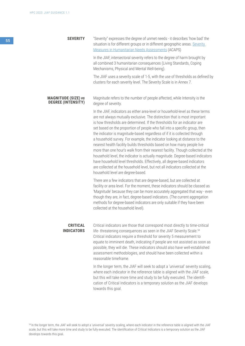In the JIAF, intersectoral severity refers to the degree of harm brought by all combined 3 humanitarian consequences (Living Standards, Coping Mechanisms, Physical and Mental Well-being).

The JIAF uses a severity scale of 1-5, with the use of thresholds as defined by clusters for each severity level. The Severity Scale is in Annex 7.

#### **MAGNITUDE (SIZE)** *vs*  **DEGREE (INTENSITY)** Magnitude refers to the number of people affected, while Intensity is the degree of severity.

In the JIAF, indicators as either area-level or household-level as these terms are not always mutually exclusive. The distinction that is most important is how thresholds are determined. If the thresholds for an indicator are set based on the proportion of people who fall into a specific group, then the indicator is magnitude-based regardless of if it is collected through a household survey. For example, the indicator looking at distance to the nearest health facility builds thresholds based on how many people live more than one hour's walk from their nearest facility. Though collected at the household level, the indicator is actually magnitude. Degree-based indicators have household level thresholds. Effectively, all degree-based indicators are collected at the household level, but not all indicators collected at the household level are degree-based.

There are a few indicators that are degree-based, but are collected at facility or area level. For the moment, these indicators should be classed as 'Magnitude' because they can be more accurately aggregated that way - even though they are, in fact, degree-based indicators. (The current aggregation methods for degree-based indicators are only suitable if they have been collected at the household level).

#### **CRITICAL INDICATORS**

Critical indicators are those that correspond most directly to time-critical life- threatening consequences as seen in the JIAF Severity Scale.<sup>54</sup> Critical indicators require a threshold for severity 5 measurement to equate to imminent death, indicating if people are not assisted as soon as possible, they will die. These indicators should also have well-established assessment methodologies, and should have been collected within a reasonable timeframe.

In the longer term, the JIAF will seek to adopt a 'universal' severity scaling, where each indicator in the reference table is aligned with the JIAF scale, but this will take more time and study to be fully executed. The identification of Critical Indicators is a temporary solution as the JIAF develops towards this goal.

54 In the longer term, the JIAF will seek to adopt a 'universal' severity scaling, where each indicator in the reference table is aligned with the JIAF scale, but this will take more time and study to be fully executed. The identification of Critical Indicators is a temporary solution as the JIAF develops towards this goal.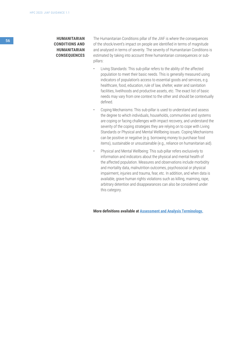# <sup>56</sup> **HUMANITARIAN CONDITIONS AND HUMANITARIAN CONSEQUENCES**

The Humanitarian Conditions pillar of the JIAF is where the consequences of the shock/event's impact on people are identified in terms of magnitude and analysed in terms of severity. The severity of Humanitarian Conditions is estimated by taking into account three humanitarian consequences or subpillars:

- Living Standards: This sub-pillar refers to the ability of the affected population to meet their basic needs. This is generally measured using indicators of population's access to essential goods and services, e.g. healthcare, food, education, rule of law, shelter, water and sanitation facilities, livelihoods and productive assets, etc. The exact list of basic needs may vary from one context to the other and should be contextually defined.
- Coping Mechanisms: This sub-pillar is used to understand and assess the degree to which individuals, households, communities and systems are coping or facing challenges with impact recovery, and understand the severity of the coping strategies they are relying on to cope with Living Standards or Physical and Mental Wellbeing issues. Coping Mechanisms can be positive or negative (e.g. borrowing money to purchase food items), sustainable or unsustainable (e.g., reliance on humanitarian aid).
- Physical and Mental Wellbeing: This sub-pillar refers exclusively to information and indicators about the physical and mental health of the affected population. Measures and observations include morbidity and mortality data, malnutrition outcomes, psychosocial or physical impairment, injuries and trauma, fear, etc. In addition, and when data is available, grave human rights violations such as killing, maiming, rape, arbitrary detention and disappearances can also be considered under this category.

**More definitions available at [Assessment and Analysis Terminology.](https://docs.google.com/spreadsheets/d/1oDV2Qn04WKM8WTGxiaS36Bu_jRO5rMCjub_jTA2Nw9g/edit)**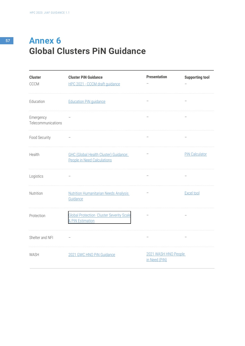# <sup>57</sup> **Annex 6 Global Clusters PiN Guidance**

| <b>Cluster</b><br>CCCM          | <b>Cluster PiN Guidance</b><br>HPC 2021 - CCCM draft guidance               | <b>Presentation</b>                   | <b>Supporting tool</b> |
|---------------------------------|-----------------------------------------------------------------------------|---------------------------------------|------------------------|
| Education                       | <b>Education PiN guidance</b>                                               |                                       |                        |
| Emergency<br>Telecommunications |                                                                             |                                       |                        |
| Food Security                   |                                                                             |                                       |                        |
| Health                          | <b>GHC (Global Health Cluster) Guidance:</b><br>People in Need Calculations |                                       | <b>PiN Calculator</b>  |
| Logistics                       |                                                                             |                                       |                        |
| Nutrition                       | <b>Nutrition Humanitarian Needs Analysis</b><br>Guidance                    |                                       | <b>Excel tool</b>      |
| Protection                      | <b>Global Protection Cluster Severity Scale</b><br>& PiN Estimation         |                                       |                        |
| Shelter and NFI                 |                                                                             |                                       |                        |
| WASH                            | 2021 GWC HNO PiN Guidance                                                   | 2021 WASH HNO People<br>in Need (PiN) |                        |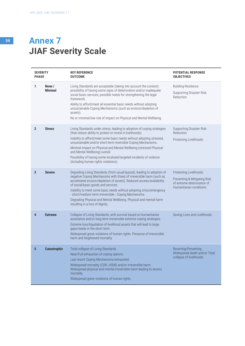# <sup>58</sup> **Annex 7 JIAF Severity Scale**

| <b>PHASE</b>   | <b>SEVERITY</b>          | <b>KEY REFERENCE</b><br><b>OUTCOME</b>                                                                                                                                                                                                                                                                                                                                                                                                                                                                  | <b>POTENTIAL RESPONSE</b><br><b>OBJECTIVES</b>                                                                   |
|----------------|--------------------------|---------------------------------------------------------------------------------------------------------------------------------------------------------------------------------------------------------------------------------------------------------------------------------------------------------------------------------------------------------------------------------------------------------------------------------------------------------------------------------------------------------|------------------------------------------------------------------------------------------------------------------|
| 1              | None /<br><b>Minimal</b> | Living Standards are acceptable (taking into account the context):<br>possibility of having some signs of deterioration and/or inadequate<br>social basic services, possible needs for strengthening the legal<br>framework.<br>Ability to afford/meet all essential basic needs without adopting<br>unsustainable Coping Mechanisms (such as erosion/depletion of<br>assets).<br>No or minimal/low risk of impact on Physical and Mental Wellbeing.                                                    | <b>Building Resilience</b><br>Supporting Disaster Risk<br>Reduction                                              |
| $\overline{2}$ | <b>Stress</b>            | Living Standards under stress, leading to adoption of coping strategies<br>(that reduce ability to protect or invest in livelihoods).<br>Inability to afford/meet some basic needs without adopting stressed,<br>unsustainable and/or short-term reversible Coping Mechanisms.<br>Minimal impact on Physical and Mental Wellbeing (stressed Physical<br>and Mental Wellbeing) overall.<br>Possibility of having some localized/targeted incidents of violence<br>(including human rights violations).   | <b>Supporting Disaster Risk</b><br>Reduction<br>Protecting Livelihoods                                           |
| 3              | <b>Severe</b>            | Degrading Living Standards (from usual/typical), leading to adoption of<br>negative Coping Mechanisms with threat of irreversible harm (such as<br>accelerated erosion/depletion of assets). Reduced access/availability<br>of social/basic goods and services<br>Inability to meet some basic needs without adopting crisis/emergency<br>- short/medium term irreversible - Coping Mechanisms.<br>Degrading Physical and Mental Wellbeing. Physical and mental harm<br>resulting in a loss of dignity. | Protecting Livelihoods<br>Preventing & Mitigating Risk<br>of extreme deterioration of<br>Humanitarian conditions |
| 4              | <b>Extreme</b>           | Collapse of Living Standards, with survival based on humanitarian<br>assistance and/or long term irreversible extreme coping strategies.<br>Extreme loss/liquidation of livelihood assets that will lead to large<br>gaps/needs in the short term.<br>Widespread grave violations of human rights. Presence of irreversible<br>harm and heightened mortality                                                                                                                                            | Saving Lives and Livelihoods                                                                                     |
| 5              | <b>Catastrophic</b>      | Total collapse of Living Standards<br>Near/Full exhaustion of coping options.<br>Last resort Coping Mechanisms/exhausted.<br>Widespread mortality (CDR, U5DR) and/or irreversible harm.<br>Widespread physical and mental irreversible harm leading to excess<br>mortality.<br>Widespread grave violations of human rights.                                                                                                                                                                             | Reverting/Preventing<br>Widespread death and/or Total<br>collapse of livelihoods                                 |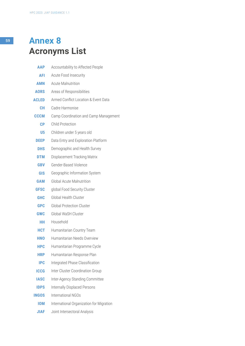# <sup>59</sup> **Annex 8 Acronyms List**

| <b>AAP</b>     | Accountability to Affected People        |
|----------------|------------------------------------------|
| <b>AFI</b>     | Acute Food Insecurity                    |
| <b>AMN</b>     | <b>Acute Malnutrition</b>                |
| <b>AORS</b>    | Areas of Responsibilities                |
| <b>ACLED</b>   | Armed Conflict Location & Event Data     |
| CН             | Cadre Harmonise                          |
| <b>CCCM</b>    | Camp Coordination and Camp Management    |
| CP             | <b>Child Protection</b>                  |
| U <sub>5</sub> | Children under 5 years old               |
| <b>DEEP</b>    | Data Entry and Exploration Platform      |
| <b>DHS</b>     | Demographic and Health Survey            |
| <b>DTM</b>     | Displacement Tracking Matrix             |
| <b>GBV</b>     | Gender-Based Violence                    |
| <b>GIS</b>     | Geographic Information System            |
| <b>GAM</b>     | <b>Global Acute Malnutrition</b>         |
| <b>GFSC</b>    | global Food Security Cluster             |
| <b>GHC</b>     | <b>Global Health Cluster</b>             |
| <b>GPC</b>     | <b>Global Protection Cluster</b>         |
| <b>GWC</b>     | Global WaSH Cluster                      |
| нн             | Household                                |
| <b>HCT</b>     | Humanitarian Country Team                |
| <b>HNO</b>     | Humanitarian Needs Overview              |
| <b>HPC</b>     | Humanitarian Programme Cycle             |
| <b>HRP</b>     | Humanitarian Response Plan               |
| <b>IPC</b>     | Integrated Phase Classification          |
| <b>ICCG</b>    | Inter Cluster Coordination Group         |
| <b>IASC</b>    | Inter-Agency Standing Committee          |
| <b>IDPS</b>    | <b>Internally Displaced Persons</b>      |
| <b>INGOS</b>   | International NGOs                       |
| <b>IOM</b>     | International Organization for Migration |
| <b>JIAF</b>    | Joint Intersectoral Analysis             |